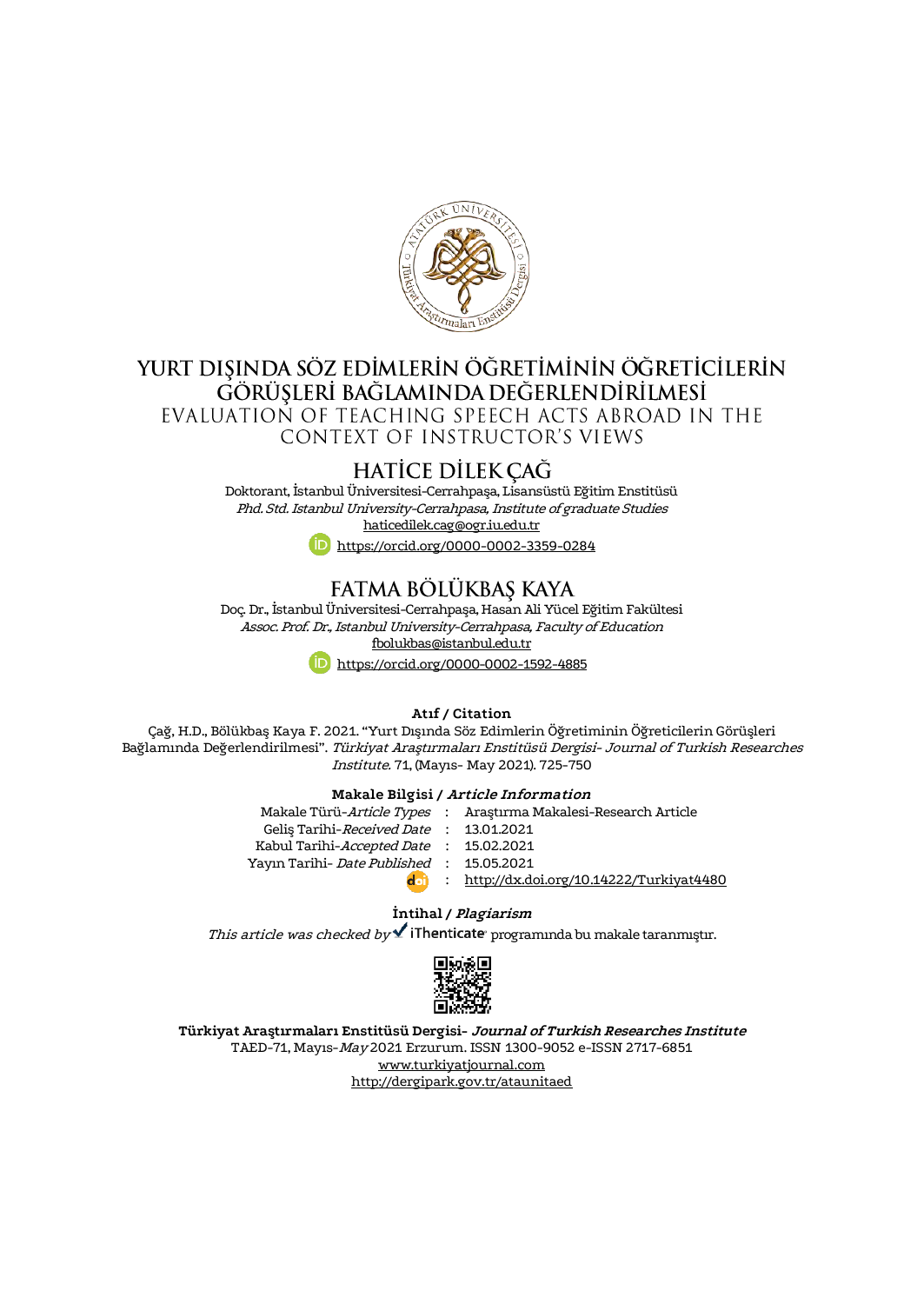

# YURT DIŞINDA SÖZ EDİMLERİN ÖĞRETİMİNİN ÖĞRETİCİLERİN<br>GÖRÜŞLERİ BAĞLAMINDA DEĞERLENDİRİLMESİ

EVALUATION OF TEACHING SPEECH ACTS ABROAD IN THE

CONTEXT OF INSTRUCTOR'S VIEWS

# HATİCE DİLEK ÇAĞ

Doktorant, İstanbul Üniversitesi-Cerrahpaşa, Lisansüstü Eğitim Enstitüsü Phd. Std. Istanbul University-Cerrahpasa, Institute ofgraduate Studies [haticedilek.cag@ogr.iu.edu.tr](mailto:haticedilek.cag@ogr.iu.edu.tr)

<https://orcid.org/0000-0002-3359-0284>

# FATMA BÖLÜKBAS KAYA

Doç. Dr., İstanbul Üniversitesi-Cerrahpaşa, Hasan Ali Yücel Eğitim Fakültesi Assoc. Prof. Dr., Istanbul University-Cerrahpasa, Faculty of Education [fbolukbas@istanbul.edu.tr](mailto:fbolukbas@istanbul.edu.tr)



#### **Atıf / Citation**

Çağ, H.D., Bölükbaş Kaya F. 2021. "Yurt Dışında Söz Edimlerin Öğretiminin Öğreticilerin Görüşleri Bağlamında Değerlendirilmesi". Türkiyat Araştırmaları Enstitüsü Dergisi- Journal of Turkish Researches Institute. 71, (Mayıs- May 2021). 725-750

#### **Makale Bilgisi / Article Information**

Makale Türü-*Article Types* : Araştırma Makalesi-Research Article Geliş Tarihi-*Received Date* : 13.01.2021 Kabul Tarihi-*Accepted Date* : 15.02.2021 Yayın Tarihi- *Date Published* : 15.05.2021 : <http://dx.doi.org/10.14222/Turkiyat4480>

#### **İntihal / Plagiarism**

This article was checked by  $\blacktriangle$  iThenticate programinda bu makale taranmıştır.



**Türkiyat Araştırmaları Enstitüsü Dergisi- Journal of Turkish Researches Institute** TAED-71, Mayıs-May 2021 Erzurum. ISSN 1300-9052 e-ISSN 2717-6851 [www.turkiyatjournal.com](http://www.turkiyatjournal.com/) <http://dergipark.gov.tr/ataunitaed>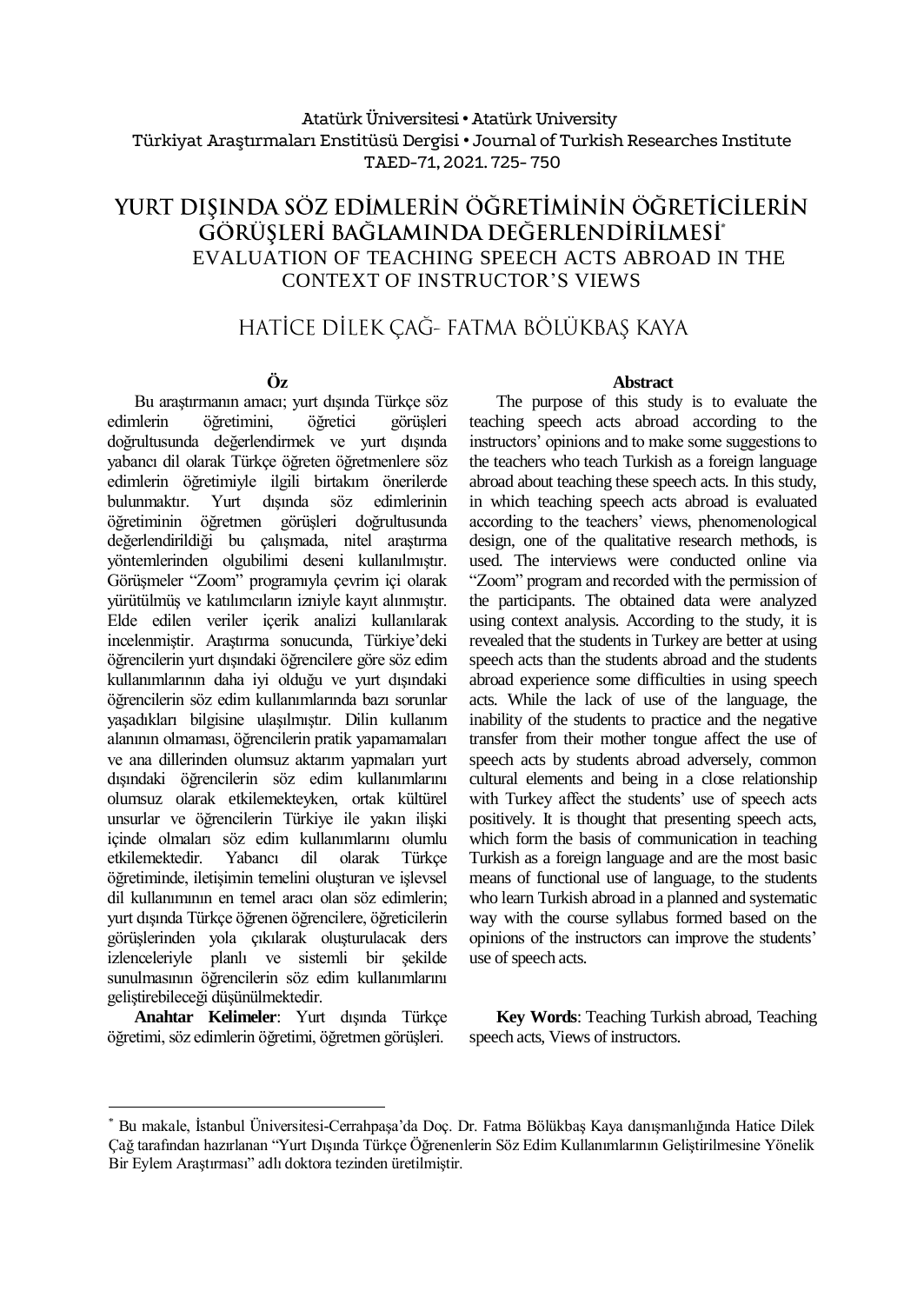## Atatürk Üniversitesi• Atatürk University Türkiyat Araştırmaları Enstitüsü Dergisi • Journal of Turkish Researches Institute TAED-71, 2021. 725- 750

# YURT DIŞINDA SÖZ EDİMLERİN ÖĞRETİMİNİN ÖĞRETİCİLERİN görüsleri bağlamında değerlendirilmesi\* EVALUATION OF TEACHING SPEECH ACTS ABROAD IN THE CONTEXT OF INSTRUCTOR'S VIEWS

# HATİCE DİLEK ÇAĞ- FATMA BÖLÜKBAŞ KAYA

## **Öz**

Bu araştırmanın amacı; yurt dışında Türkçe söz edimlerin öğretimini, öğretici görüşleri doğrultusunda değerlendirmek ve yurt dışında yabancı dil olarak Türkçe öğreten öğretmenlere söz edimlerin öğretimiyle ilgili birtakım önerilerde bulunmaktır. Yurt dışında söz edimlerinin öğretiminin öğretmen görüşleri doğrultusunda değerlendirildiği bu çalışmada, nitel araştırma yöntemlerinden olgubilimi deseni kullanılmıştır. Görüşmeler "Zoom" programıyla çevrim içi olarak yürütülmüş ve katılımcıların izniyle kayıt alınmıştır. Elde edilen veriler içerik analizi kullanılarak incelenmiştir. Araştırma sonucunda, Türkiye'deki öğrencilerin yurt dışındaki öğrencilere göre söz edim kullanımlarının daha iyi olduğu ve yurt dışındaki öğrencilerin söz edim kullanımlarında bazı sorunlar yaşadıkları bilgisine ulaşılmıştır. Dilin kullanım alanının olmaması, öğrencilerin pratik yapamamaları ve ana dillerinden olumsuz aktarım yapmaları yurt dışındaki öğrencilerin söz edim kullanımlarını olumsuz olarak etkilemekteyken, ortak kültürel unsurlar ve öğrencilerin Türkiye ile yakın ilişki içinde olmaları söz edim kullanımlarını olumlu etkilemektedir. Yabancı dil olarak Türkçe öğretiminde, iletişimin temelini oluşturan ve işlevsel dil kullanımının en temel aracı olan söz edimlerin; yurt dışında Türkçe öğrenen öğrencilere, öğreticilerin görüşlerinden yola çıkılarak oluşturulacak ders izlenceleriyle planlı ve sistemli bir şekilde sunulmasının öğrencilerin söz edim kullanımlarını geliştirebileceği düşünülmektedir.

**Anahtar Kelimeler**: Yurt dışında Türkçe öğretimi, söz edimlerin öğretimi, öğretmen görüşleri.

 $\overline{a}$ 

#### **Abstract**

The purpose of this study is to evaluate the teaching speech acts abroad according to the instructors' opinions and to make some suggestions to the teachers who teach Turkish as a foreign language abroad about teaching these speech acts. In this study, in which teaching speech acts abroad is evaluated according to the teachers' views, phenomenological design, one of the qualitative research methods, is used. The interviews were conducted online via "Zoom" program and recorded with the permission of the participants. The obtained data were analyzed using context analysis. According to the study, it is revealed that the students in Turkey are better at using speech acts than the students abroad and the students abroad experience some difficulties in using speech acts. While the lack of use of the language, the inability of the students to practice and the negative transfer from their mother tongue affect the use of speech acts by students abroad adversely, common cultural elements and being in a close relationship with Turkey affect the students' use of speech acts positively. It is thought that presenting speech acts, which form the basis of communication in teaching Turkish as a foreign language and are the most basic means of functional use of language, to the students who learn Turkish abroad in a planned and systematic way with the course syllabus formed based on the opinions of the instructors can improve the students' use of speech acts.

**Key Words**: Teaching Turkish abroad, Teaching speech acts, Views of instructors.

<sup>\*</sup> Bu makale, İstanbul Üniversitesi-Cerrahpaşa'da Doç. Dr. Fatma Bölükbaş Kaya danışmanlığında Hatice Dilek Çağ tarafından hazırlanan "Yurt Dışında Türkçe Öğrenenlerin Söz Edim Kullanımlarının Geliştirilmesine Yönelik Bir Eylem Araştırması" adlı doktora tezinden üretilmiştir.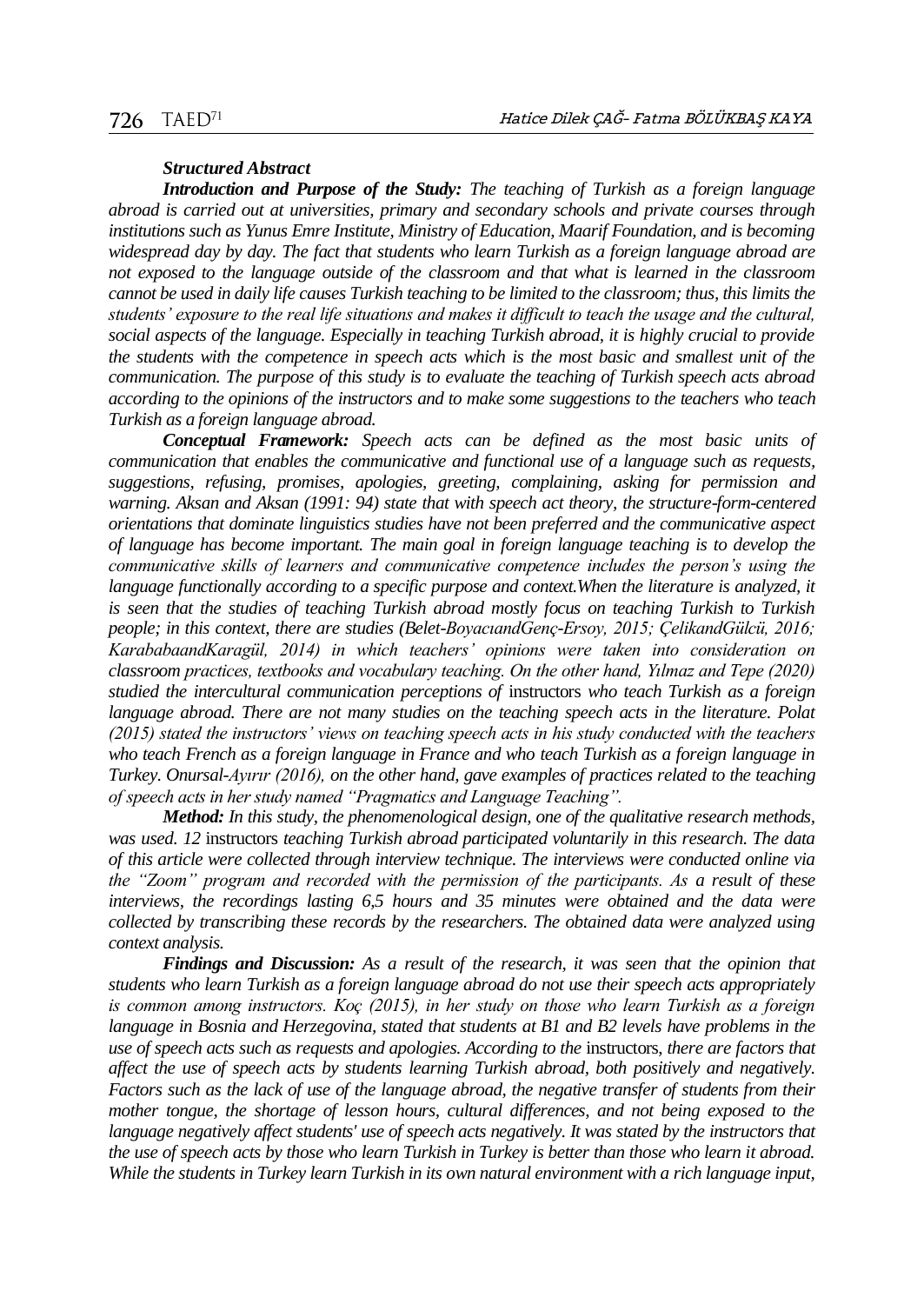#### *Structured Abstract*

*Introduction and Purpose of the Study: The teaching of Turkish as a foreign language abroad is carried out at universities, primary and secondary schools and private courses through institutions such as Yunus Emre Institute, Ministry of Education, Maarif Foundation, and is becoming widespread day by day. The fact that students who learn Turkish as a foreign language abroad are not exposed to the language outside of the classroom and that what is learned in the classroom cannot be used in daily life causes Turkish teaching to be limited to the classroom; thus, this limits the students' exposure to the real life situations and makes it difficult to teach the usage and the cultural, social aspects of the language. Especially in teaching Turkish abroad, it is highly crucial to provide the students with the competence in speech acts which is the most basic and smallest unit of the communication. The purpose of this study is to evaluate the teaching of Turkish speech acts abroad according to the opinions of the instructors and to make some suggestions to the teachers who teach Turkish as a foreign language abroad.* 

*Conceptual Framework: Speech acts can be defined as the most basic units of communication that enables the communicative and functional use of a language such as requests, suggestions, refusing, promises, apologies, greeting, complaining, asking for permission and warning. Aksan and Aksan (1991: 94) state that with speech act theory, the structure-form-centered orientations that dominate linguistics studies have not been preferred and the communicative aspect of language has become important. The main goal in foreign language teaching is to develop the communicative skills of learners and communicative competence includes the person's using the language functionally according to a specific purpose and context. When the literature is analyzed, it* is seen that the studies of teaching Turkish abroad mostly focus on teaching Turkish to Turkish *people; in this context, there are studies (Belet-BoyacıandGenç-Ersoy, 2015; ÇelikandGülcü, 2016; KarababaandKaragül, 2014) in which teachers' opinions were taken into consideration on classroom practices, textbooks and vocabulary teaching. On the other hand, Yılmaz and Tepe (2020) studied the intercultural communication perceptions of* instructors *who teach Turkish as a foreign*  language abroad. There are not many studies on the teaching speech acts in the literature. Polat *(2015) stated the instructors' views on teaching speech acts in his study conducted with the teachers who teach French as a foreign language in France and who teach Turkish as a foreign language in Turkey. Onursal-Ayırır (2016), on the other hand, gave examples of practices related to the teaching of speech acts in her study named "Pragmatics and Language Teaching".* 

*Method: In this study, the phenomenological design, one of the qualitative research methods, was used. 12* instructors *teaching Turkish abroad participated voluntarily in this research. The data of this article were collected through interview technique. The interviews were conducted online via the "Zoom" program and recorded with the permission of the participants. As a result of these interviews, the recordings lasting 6,5 hours and 35 minutes were obtained and the data were collected by transcribing these records by the researchers. The obtained data were analyzed using context analysis.*

*Findings and Discussion: As a result of the research, it was seen that the opinion that students who learn Turkish as a foreign language abroad do not use their speech acts appropriately is common among instructors. Koç (2015), in her study on those who learn Turkish as a foreign language in Bosnia and Herzegovina, stated that students at B1 and B2 levels have problems in the use of speech acts such as requests and apologies. According to the* instructors, *there are factors that affect the use of speech acts by students learning Turkish abroad, both positively and negatively. Factors such as the lack of use of the language abroad, the negative transfer of students from their mother tongue, the shortage of lesson hours, cultural differences, and not being exposed to the language negatively affect students' use of speech acts negatively. It was stated by the instructors that the use of speech acts by those who learn Turkish in Turkey is better than those who learn it abroad. While the students in Turkey learn Turkish in its own natural environment with a rich language input,*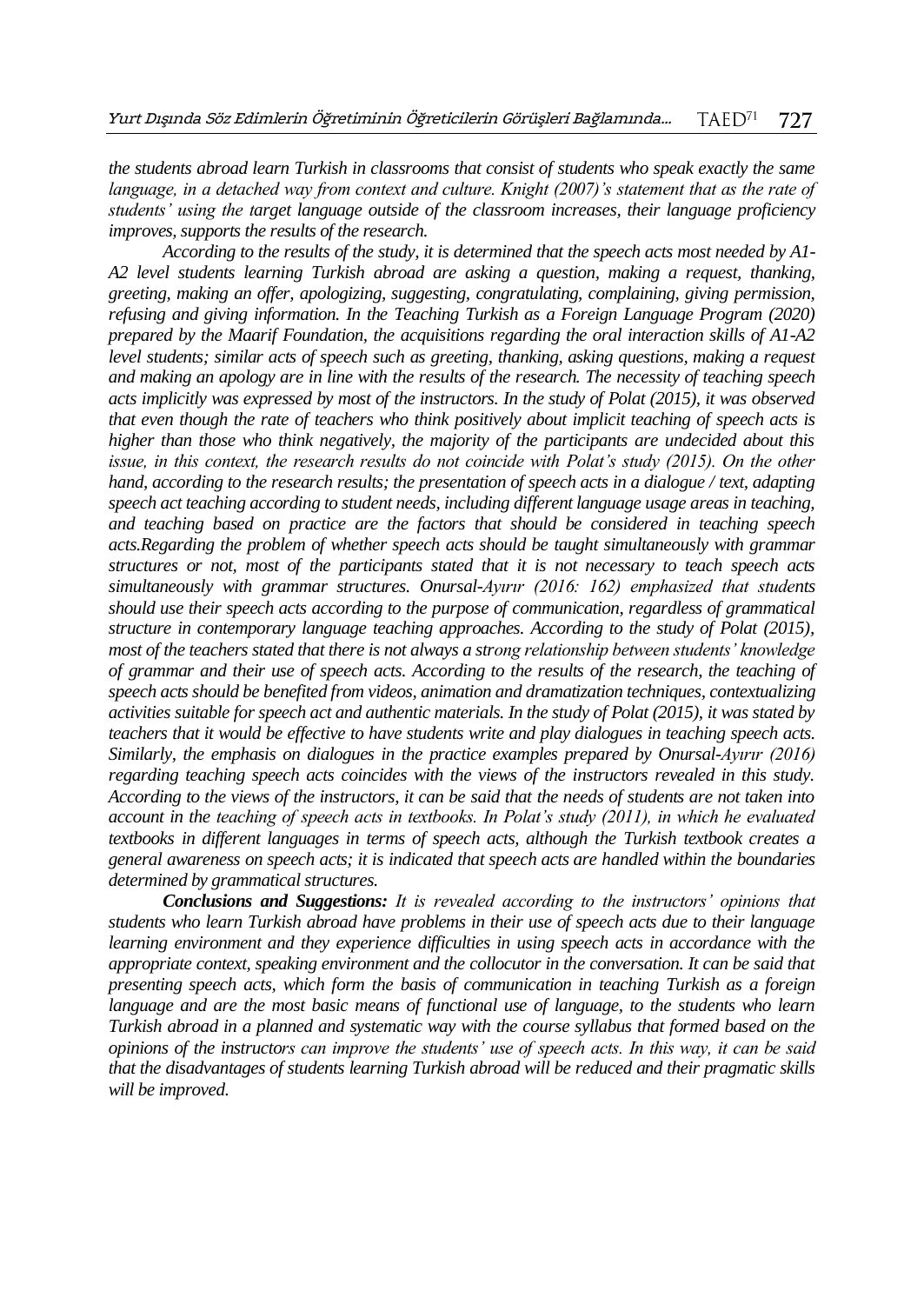*the students abroad learn Turkish in classrooms that consist of students who speak exactly the same language, in a detached way from context and culture. Knight (2007)'s statement that as the rate of students' using the target language outside of the classroom increases, their language proficiency improves, supports the results of the research.*

*According to the results of the study, it is determined that the speech acts most needed by A1- A2 level students learning Turkish abroad are asking a question, making a request, thanking, greeting, making an offer, apologizing, suggesting, congratulating, complaining, giving permission, refusing and giving information. In the Teaching Turkish as a Foreign Language Program (2020) prepared by the Maarif Foundation, the acquisitions regarding the oral interaction skills of A1-A2 level students; similar acts of speech such as greeting, thanking, asking questions, making a request and making an apology are in line with the results of the research. The necessity of teaching speech acts implicitly was expressed by most of the instructors. In the study of Polat (2015), it was observed that even though the rate of teachers who think positively about implicit teaching of speech acts is higher than those who think negatively, the majority of the participants are undecided about this issue, in this context, the research results do not coincide with Polat's study (2015). On the other hand, according to the research results; the presentation of speech acts in a dialogue / text, adapting speech act teaching according to student needs, including different language usage areas in teaching, and teaching based on practice are the factors that should be considered in teaching speech acts.Regarding the problem of whether speech acts should be taught simultaneously with grammar structures or not, most of the participants stated that it is not necessary to teach speech acts simultaneously with grammar structures. Onursal-Ayırır (2016: 162) emphasized that students should use their speech acts according to the purpose of communication, regardless of grammatical structure in contemporary language teaching approaches. According to the study of Polat (2015), most of the teachers stated that there is not always a strong relationship between students' knowledge of grammar and their use of speech acts. According to the results of the research, the teaching of speech acts should be benefited from videos, animation and dramatization techniques, contextualizing activities suitable for speech act and authentic materials. In the study of Polat (2015), it was stated by teachers that it would be effective to have students write and play dialogues in teaching speech acts. Similarly, the emphasis on dialogues in the practice examples prepared by Onursal-Ayırır (2016) regarding teaching speech acts coincides with the views of the instructors revealed in this study. According to the views of the instructors, it can be said that the needs of students are not taken into account in the teaching of speech acts in textbooks. In Polat's study (2011), in which he evaluated textbooks in different languages in terms of speech acts, although the Turkish textbook creates a general awareness on speech acts; it is indicated that speech acts are handled within the boundaries determined by grammatical structures.*

*Conclusions and Suggestions: It is revealed according to the instructors' opinions that students who learn Turkish abroad have problems in their use of speech acts due to their language learning environment and they experience difficulties in using speech acts in accordance with the appropriate context, speaking environment and the collocutor in the conversation. It can be said that presenting speech acts, which form the basis of communication in teaching Turkish as a foreign language and are the most basic means of functional use of language, to the students who learn Turkish abroad in a planned and systematic way with the course syllabus that formed based on the opinions of the instructors can improve the students' use of speech acts. In this way, it can be said that the disadvantages of students learning Turkish abroad will be reduced and their pragmatic skills will be improved.*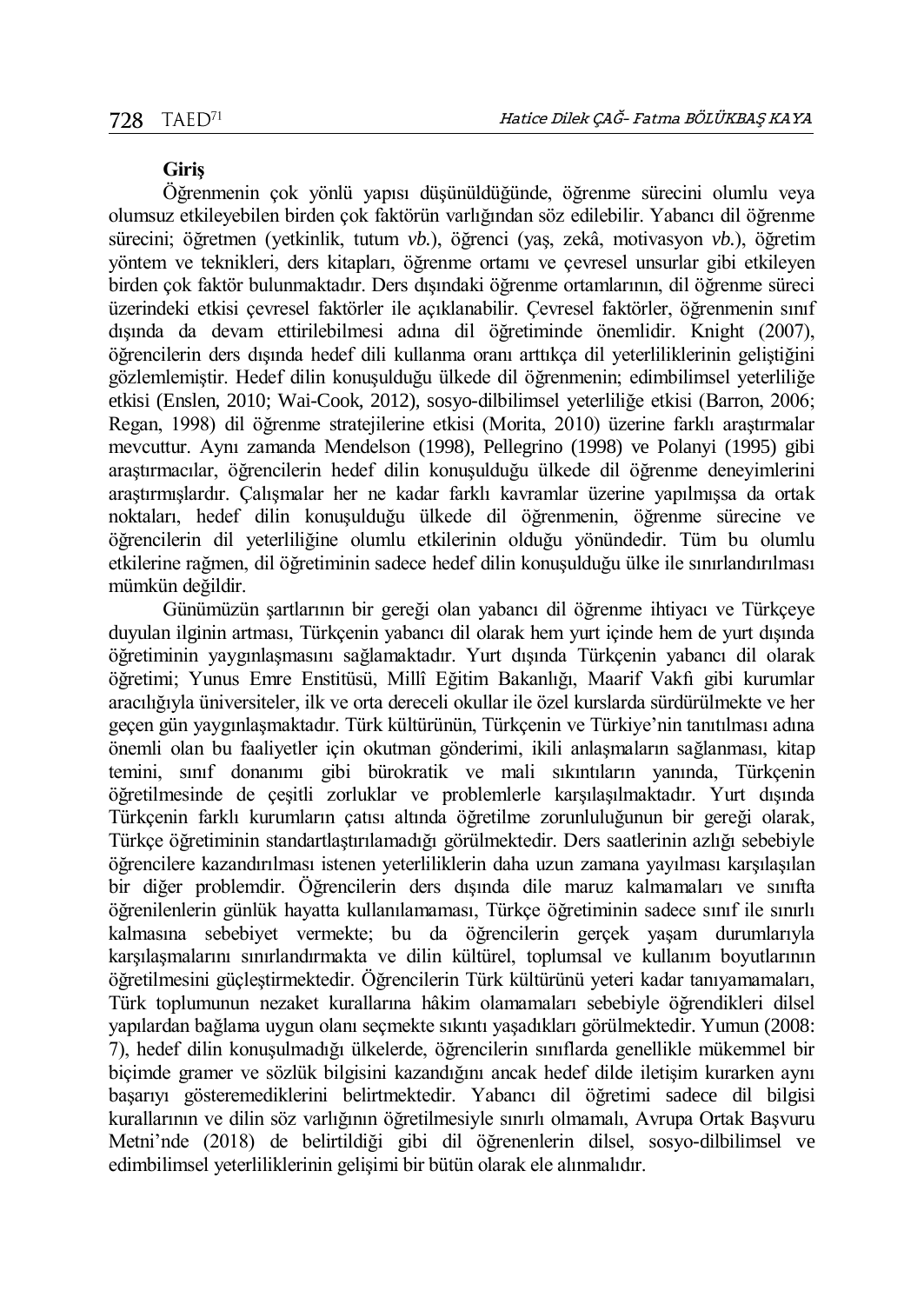#### **Giriş**

Öğrenmenin çok yönlü yapısı düşünüldüğünde, öğrenme sürecini olumlu veya olumsuz etkileyebilen birden çok faktörün varlığından söz edilebilir. Yabancı dil öğrenme sürecini; öğretmen (yetkinlik, tutum *vb.*), öğrenci (yaş, zekâ, motivasyon *vb.*), öğretim yöntem ve teknikleri, ders kitapları, öğrenme ortamı ve çevresel unsurlar gibi etkileyen birden çok faktör bulunmaktadır. Ders dışındaki öğrenme ortamlarının, dil öğrenme süreci üzerindeki etkisi çevresel faktörler ile açıklanabilir. Çevresel faktörler, öğrenmenin sınıf dışında da devam ettirilebilmesi adına dil öğretiminde önemlidir. Knight (2007), öğrencilerin ders dışında hedef dili kullanma oranı arttıkça dil yeterliliklerinin geliştiğini gözlemlemiştir. Hedef dilin konuşulduğu ülkede dil öğrenmenin; edimbilimsel yeterliliğe etkisi (Enslen, 2010; Wai-Cook, 2012), sosyo-dilbilimsel yeterliliğe etkisi (Barron, 2006; Regan, 1998) dil öğrenme stratejilerine etkisi (Morita, 2010) üzerine farklı araştırmalar mevcuttur. Aynı zamanda Mendelson (1998), Pellegrino (1998) ve Polanyi (1995) gibi araştırmacılar, öğrencilerin hedef dilin konuşulduğu ülkede dil öğrenme deneyimlerini araştırmışlardır. Çalışmalar her ne kadar farklı kavramlar üzerine yapılmışsa da ortak noktaları, hedef dilin konuşulduğu ülkede dil öğrenmenin, öğrenme sürecine ve öğrencilerin dil yeterliliğine olumlu etkilerinin olduğu yönündedir. Tüm bu olumlu etkilerine rağmen, dil öğretiminin sadece hedef dilin konuşulduğu ülke ile sınırlandırılması mümkün değildir.

Günümüzün şartlarının bir gereği olan yabancı dil öğrenme ihtiyacı ve Türkçeye duyulan ilginin artması, Türkçenin yabancı dil olarak hem yurt içinde hem de yurt dışında öğretiminin yaygınlaşmasını sağlamaktadır. Yurt dışında Türkçenin yabancı dil olarak öğretimi; Yunus Emre Enstitüsü, Millî Eğitim Bakanlığı, Maarif Vakfı gibi kurumlar aracılığıyla üniversiteler, ilk ve orta dereceli okullar ile özel kurslarda sürdürülmekte ve her geçen gün yaygınlaşmaktadır. Türk kültürünün, Türkçenin ve Türkiye'nin tanıtılması adına önemli olan bu faaliyetler için okutman gönderimi, ikili anlaşmaların sağlanması, kitap temini, sınıf donanımı gibi bürokratik ve mali sıkıntıların yanında, Türkçenin öğretilmesinde de çeşitli zorluklar ve problemlerle karşılaşılmaktadır. Yurt dışında Türkçenin farklı kurumların çatısı altında öğretilme zorunluluğunun bir gereği olarak, Türkçe öğretiminin standartlaştırılamadığı görülmektedir. Ders saatlerinin azlığı sebebiyle öğrencilere kazandırılması istenen yeterliliklerin daha uzun zamana yayılması karşılaşılan bir diğer problemdir. Öğrencilerin ders dışında dile maruz kalmamaları ve sınıfta öğrenilenlerin günlük hayatta kullanılamaması, Türkçe öğretiminin sadece sınıf ile sınırlı kalmasına sebebiyet vermekte; bu da öğrencilerin gerçek yaşam durumlarıyla karşılaşmalarını sınırlandırmakta ve dilin kültürel, toplumsal ve kullanım boyutlarının öğretilmesini güçleştirmektedir. Öğrencilerin Türk kültürünü yeteri kadar tanıyamamaları, Türk toplumunun nezaket kurallarına hâkim olamamaları sebebiyle öğrendikleri dilsel yapılardan bağlama uygun olanı seçmekte sıkıntı yaşadıkları görülmektedir. Yumun (2008: 7), hedef dilin konuşulmadığı ülkelerde, öğrencilerin sınıflarda genellikle mükemmel bir biçimde gramer ve sözlük bilgisini kazandığını ancak hedef dilde iletişim kurarken aynı başarıyı gösteremediklerini belirtmektedir. Yabancı dil öğretimi sadece dil bilgisi kurallarının ve dilin söz varlığının öğretilmesiyle sınırlı olmamalı, Avrupa Ortak Başvuru Metni'nde (2018) de belirtildiği gibi dil öğrenenlerin dilsel, sosyo-dilbilimsel ve edimbilimsel yeterliliklerinin gelişimi bir bütün olarak ele alınmalıdır.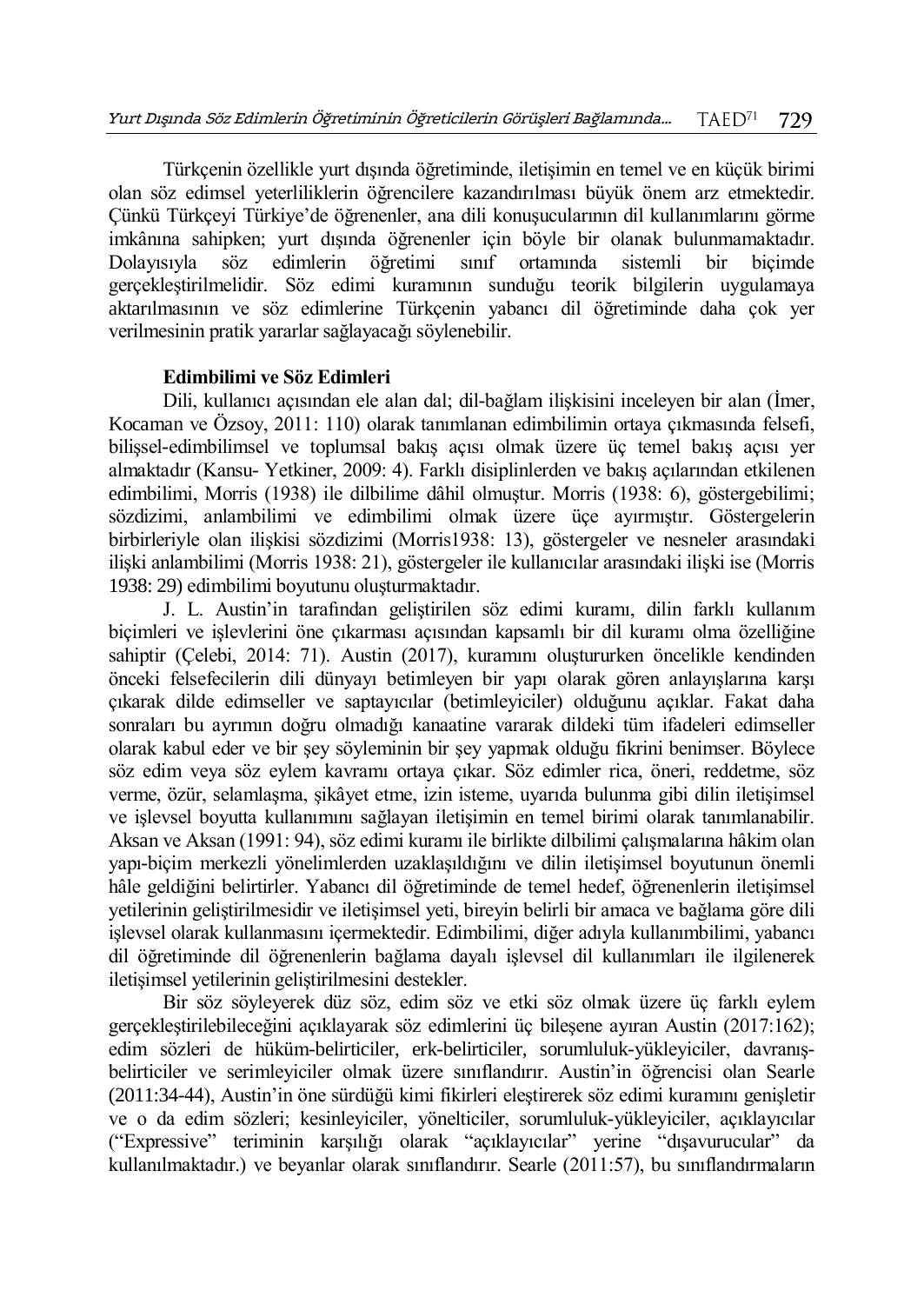Türkçenin özellikle yurt dışında öğretiminde, iletişimin en temel ve en küçük birimi olan söz edimsel yeterliliklerin öğrencilere kazandırılması büyük önem arz etmektedir. Çünkü Türkçeyi Türkiye'de öğrenenler, ana dili konuşucularının dil kullanımlarını görme imkânına sahipken; yurt dışında öğrenenler için böyle bir olanak bulunmamaktadır. Dolayısıyla söz edimlerin öğretimi sınıf ortamında sistemli bir biçimde gerçekleştirilmelidir. Söz edimi kuramının sunduğu teorik bilgilerin uygulamaya aktarılmasının ve söz edimlerine Türkçenin yabancı dil öğretiminde daha çok yer verilmesinin pratik yararlar sağlayacağı söylenebilir.

## **Edimbilimi ve Söz Edimleri**

Dili, kullanıcı açısından ele alan dal; dil-bağlam ilişkisini inceleyen bir alan (İmer, Kocaman ve Özsoy, 2011: 110) olarak tanımlanan edimbilimin ortaya çıkmasında felsefi, bilişsel-edimbilimsel ve toplumsal bakış açısı olmak üzere üç temel bakış açısı yer almaktadır (Kansu- Yetkiner, 2009: 4). Farklı disiplinlerden ve bakış açılarından etkilenen edimbilimi, Morris (1938) ile dilbilime dâhil olmuştur. Morris (1938: 6), göstergebilimi; sözdizimi, anlambilimi ve edimbilimi olmak üzere üçe ayırmıştır. Göstergelerin birbirleriyle olan ilişkisi sözdizimi (Morris1938: 13), göstergeler ve nesneler arasındaki ilişki anlambilimi (Morris 1938: 21), göstergeler ile kullanıcılar arasındaki ilişki ise (Morris 1938: 29) edimbilimi boyutunu oluşturmaktadır.

J. L. Austin'in tarafından geliştirilen söz edimi kuramı, dilin farklı kullanım biçimleri ve işlevlerini öne çıkarması açısından kapsamlı bir dil kuramı olma özelliğine sahiptir (Çelebi, 2014: 71). Austin (2017), kuramını oluştururken öncelikle kendinden önceki felsefecilerin dili dünyayı betimleyen bir yapı olarak gören anlayışlarına karşı çıkarak dilde edimseller ve saptayıcılar (betimleyiciler) olduğunu açıklar. Fakat daha sonraları bu ayrımın doğru olmadığı kanaatine vararak dildeki tüm ifadeleri edimseller olarak kabul eder ve bir şey söyleminin bir şey yapmak olduğu fikrini benimser. Böylece söz edim veya söz eylem kavramı ortaya çıkar. Söz edimler rica, öneri, reddetme, söz verme, özür, selamlaşma, şikâyet etme, izin isteme, uyarıda bulunma gibi dilin iletişimsel ve işlevsel boyutta kullanımını sağlayan iletişimin en temel birimi olarak tanımlanabilir. Aksan ve Aksan (1991: 94), söz edimi kuramı ile birlikte dilbilimi çalışmalarına hâkim olan yapı-biçim merkezli yönelimlerden uzaklaşıldığını ve dilin iletişimsel boyutunun önemli hâle geldiğini belirtirler. Yabancı dil öğretiminde de temel hedef, öğrenenlerin iletişimsel yetilerinin geliştirilmesidir ve iletişimsel yeti, bireyin belirli bir amaca ve bağlama göre dili işlevsel olarak kullanmasını içermektedir. Edimbilimi, diğer adıyla kullanımbilimi, yabancı dil öğretiminde dil öğrenenlerin bağlama dayalı işlevsel dil kullanımları ile ilgilenerek iletişimsel yetilerinin geliştirilmesini destekler.

Bir söz söyleyerek düz söz, edim söz ve etki söz olmak üzere üç farklı eylem gerçekleştirilebileceğini açıklayarak söz edimlerini üç bileşene ayıran Austin (2017:162); edim sözleri de hüküm-belirticiler, erk-belirticiler, sorumluluk-yükleyiciler, davranışbelirticiler ve serimleyiciler olmak üzere sınıflandırır. Austin'in öğrencisi olan Searle (2011:34-44), Austin'in öne sürdüğü kimi fikirleri eleştirerek söz edimi kuramını genişletir ve o da edim sözleri; kesinleyiciler, yönelticiler, sorumluluk-yükleyiciler, açıklayıcılar ("Expressive" teriminin karşılığı olarak "açıklayıcılar" yerine "dışavurucular" da kullanılmaktadır.) ve beyanlar olarak sınıflandırır. Searle (2011:57), bu sınıflandırmaların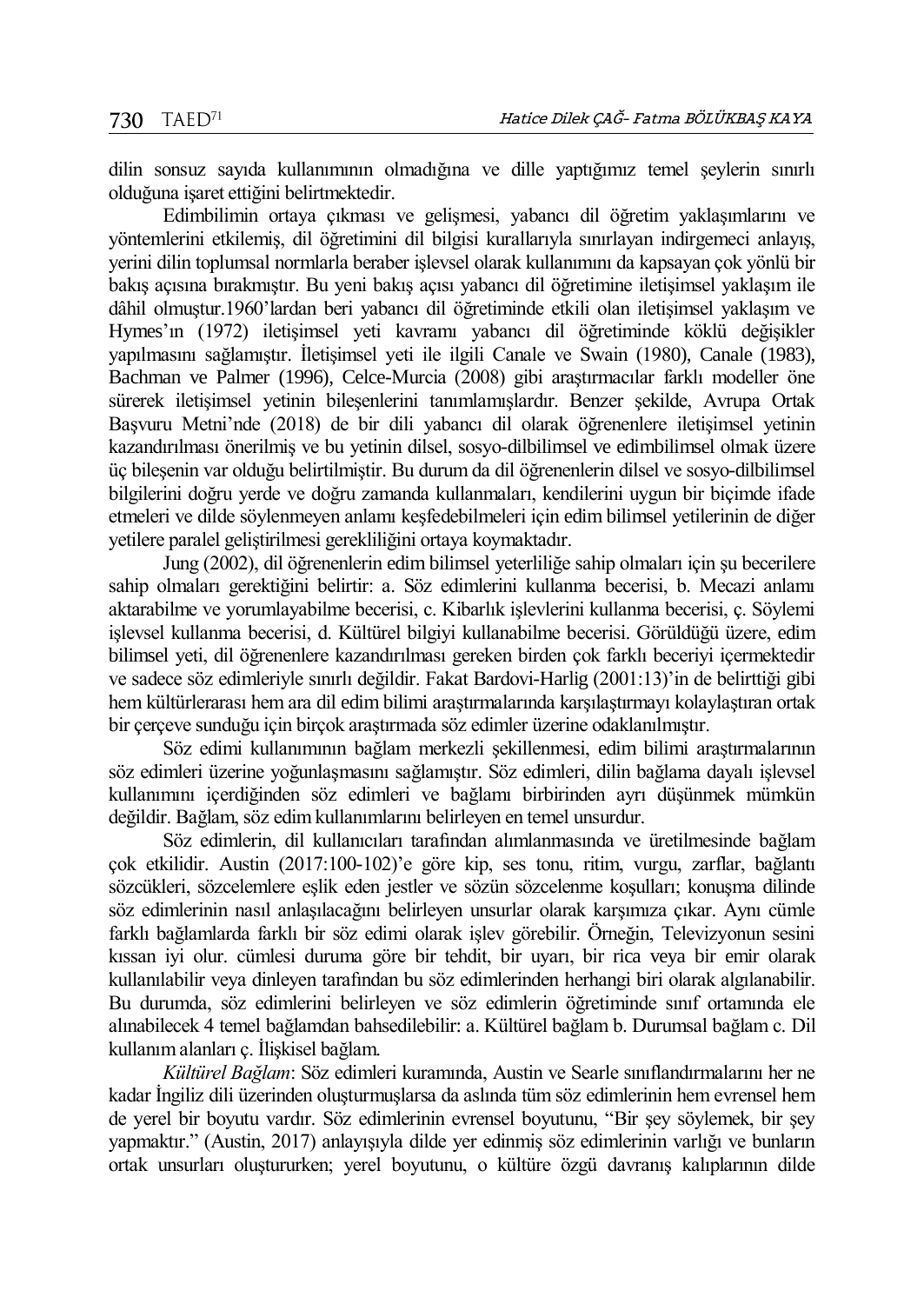dilin sonsuz sayıda kullanımının olmadığına ve dille yaptığımız temel şeylerin sınırlı olduğuna işaret ettiğini belirtmektedir.

Edimbilimin ortaya çıkması ve gelişmesi, yabancı dil öğretim yaklaşımlarını ve yöntemlerini etkilemiş, dil öğretimini dil bilgisi kurallarıyla sınırlayan indirgemeci anlayış, yerini dilin toplumsal normlarla beraber işlevsel olarak kullanımını da kapsayan çok yönlü bir bakış açısına bırakmıştır. Bu yeni bakış açısı yabancı dil öğretimine iletişimsel yaklaşım ile dâhil olmuştur.1960'lardan beri yabancı dil öğretiminde etkili olan iletişimsel yaklaşım ve Hymes'ın (1972) iletişimsel yeti kavramı yabancı dil öğretiminde köklü değişikler yapılmasını sağlamıştır. İletişimsel yeti ile ilgili Canale ve Swain (1980), Canale (1983), Bachman ve Palmer (1996), Celce-Murcia (2008) gibi araştırmacılar farklı modeller öne sürerek iletişimsel yetinin bileşenlerini tanımlamışlardır. Benzer şekilde, Avrupa Ortak Başvuru Metni'nde (2018) de bir dili yabancı dil olarak öğrenenlere iletişimsel yetinin kazandırılması önerilmiş ve bu yetinin dilsel, sosyo-dilbilimsel ve edimbilimsel olmak üzere üç bileşenin var olduğu belirtilmiştir. Bu durum da dil öğrenenlerin dilsel ve sosyo-dilbilimsel bilgilerini doğru yerde ve doğru zamanda kullanmaları, kendilerini uygun bir biçimde ifade etmeleri ve dilde söylenmeyen anlamı keşfedebilmeleri için edim bilimsel yetilerinin de diğer yetilere paralel geliştirilmesi gerekliliğini ortaya koymaktadır.

Jung (2002), dil öğrenenlerin edim bilimsel yeterliliğe sahip olmaları için şu becerilere sahip olmaları gerektiğini belirtir: a. Söz edimlerini kullanma becerisi, b. Mecazi anlamı aktarabilme ve yorumlayabilme becerisi, c. Kibarlık işlevlerini kullanma becerisi, ç. Söylemi işlevsel kullanma becerisi, d. Kültürel bilgiyi kullanabilme becerisi. Görüldüğü üzere, edim bilimsel yeti, dil öğrenenlere kazandırılması gereken birden çok farklı beceriyi içermektedir ve sadece söz edimleriyle sınırlı değildir. Fakat Bardovi-Harlig (2001:13)'in de belirttiği gibi hem kültürlerarası hem ara dil edim bilimi araştırmalarında karşılaştırmayı kolaylaştıran ortak bir çerçeve sunduğu için birçok araştırmada söz edimler üzerine odaklanılmıştır.

Söz edimi kullanımının bağlam merkezli şekillenmesi, edim bilimi araştırmalarının söz edimleri üzerine yoğunlaşmasını sağlamıştır. Söz edimleri, dilin bağlama dayalı işlevsel kullanımını içerdiğinden söz edimleri ve bağlamı birbirinden ayrı düşünmek mümkün değildir. Bağlam, söz edim kullanımlarını belirleyen en temel unsurdur.

Söz edimlerin, dil kullanıcıları tarafından alımlanmasında ve üretilmesinde bağlam çok etkilidir. Austin (2017:100-102)'e göre kip, ses tonu, ritim, vurgu, zarflar, bağlantı sözcükleri, sözcelemlere eşlik eden jestler ve sözün sözcelenme koşulları; konuşma dilinde söz edimlerinin nasıl anlaşılacağını belirleyen unsurlar olarak karşımıza çıkar. Aynı cümle farklı bağlamlarda farklı bir söz edimi olarak işlev görebilir. Örneğin, Televizyonun sesini kıssan iyi olur. cümlesi duruma göre bir tehdit, bir uyarı, bir rica veya bir emir olarak kullanılabilir veya dinleyen tarafından bu söz edimlerinden herhangi biri olarak algılanabilir. Bu durumda, söz edimlerini belirleyen ve söz edimlerin öğretiminde sınıf ortamında ele alınabilecek 4 temel bağlamdan bahsedilebilir: a. Kültürel bağlam b. Durumsal bağlam c. Dil kullanım alanları ç. İlişkisel bağlam.

*Kültürel Bağlam*: Söz edimleri kuramında, Austin ve Searle sınıflandırmalarını her ne kadar İngiliz dili üzerinden oluşturmuşlarsa da aslında tüm söz edimlerinin hem evrensel hem de yerel bir boyutu vardır. Söz edimlerinin evrensel boyutunu, "Bir şey söylemek, bir şey yapmaktır." (Austin, 2017) anlayışıyla dilde yer edinmiş söz edimlerinin varlığı ve bunların ortak unsurları oluştururken; yerel boyutunu, o kültüre özgü davranış kalıplarının dilde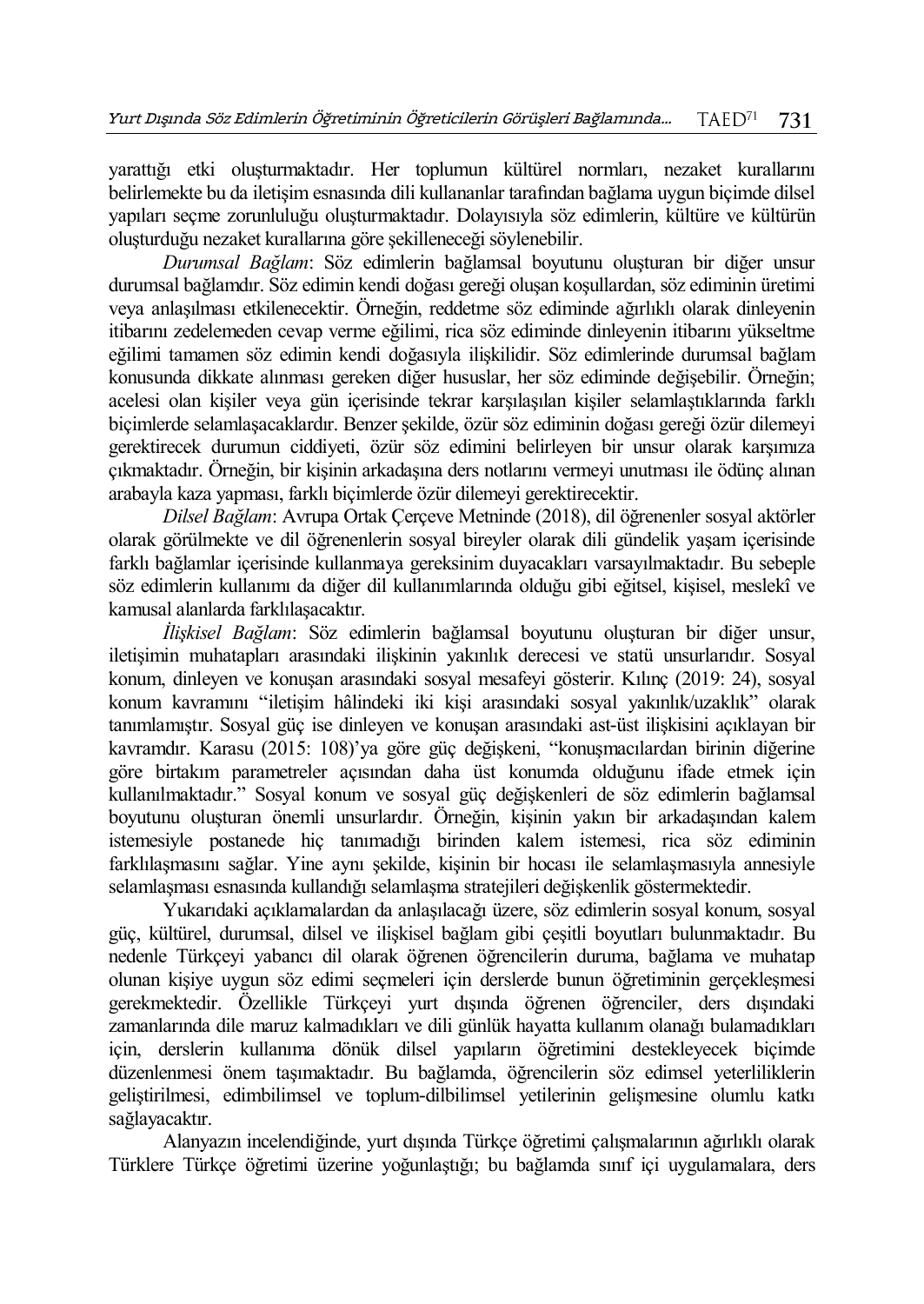yarattığı etki oluşturmaktadır. Her toplumun kültürel normları, nezaket kurallarını belirlemekte bu da iletişim esnasında dili kullananlar tarafından bağlama uygun biçimde dilsel yapıları seçme zorunluluğu oluşturmaktadır. Dolayısıyla söz edimlerin, kültüre ve kültürün oluşturduğu nezaket kurallarına göre şekilleneceği söylenebilir.

*Durumsal Bağlam*: Söz edimlerin bağlamsal boyutunu oluşturan bir diğer unsur durumsal bağlamdır. Söz edimin kendi doğası gereği oluşan koşullardan, söz ediminin üretimi veya anlaşılması etkilenecektir. Örneğin, reddetme söz ediminde ağırlıklı olarak dinleyenin itibarını zedelemeden cevap verme eğilimi, rica söz ediminde dinleyenin itibarını yükseltme eğilimi tamamen söz edimin kendi doğasıyla ilişkilidir. Söz edimlerinde durumsal bağlam konusunda dikkate alınması gereken diğer hususlar, her söz ediminde değişebilir. Örneğin; acelesi olan kişiler veya gün içerisinde tekrar karşılaşılan kişiler selamlaştıklarında farklı biçimlerde selamlaşacaklardır. Benzer şekilde, özür söz ediminin doğası gereği özür dilemeyi gerektirecek durumun ciddiyeti, özür söz edimini belirleyen bir unsur olarak karşımıza çıkmaktadır. Örneğin, bir kişinin arkadaşına ders notlarını vermeyi unutması ile ödünç alınan arabayla kaza yapması, farklı biçimlerde özür dilemeyi gerektirecektir.

*Dilsel Bağlam*: Avrupa Ortak Çerçeve Metninde (2018), dil öğrenenler sosyal aktörler olarak görülmekte ve dil öğrenenlerin sosyal bireyler olarak dili gündelik yaşam içerisinde farklı bağlamlar içerisinde kullanmaya gereksinim duyacakları varsayılmaktadır. Bu sebeple söz edimlerin kullanımı da diğer dil kullanımlarında olduğu gibi eğitsel, kişisel, meslekî ve kamusal alanlarda farklılaşacaktır.

*İlişkisel Bağlam*: Söz edimlerin bağlamsal boyutunu oluşturan bir diğer unsur, iletişimin muhatapları arasındaki ilişkinin yakınlık derecesi ve statü unsurlarıdır. Sosyal konum, dinleyen ve konuşan arasındaki sosyal mesafeyi gösterir. Kılınç (2019: 24), sosyal konum kavramını "iletişim hâlindeki iki kişi arasındaki sosyal yakınlık/uzaklık" olarak tanımlamıştır. Sosyal güç ise dinleyen ve konuşan arasındaki ast-üst ilişkisini açıklayan bir kavramdır. Karasu (2015: 108)'ya göre güç değişkeni, "konuşmacılardan birinin diğerine göre birtakım parametreler açısından daha üst konumda olduğunu ifade etmek için kullanılmaktadır." Sosyal konum ve sosyal güç değişkenleri de söz edimlerin bağlamsal boyutunu oluşturan önemli unsurlardır. Örneğin, kişinin yakın bir arkadaşından kalem istemesiyle postanede hiç tanımadığı birinden kalem istemesi, rica söz ediminin farklılaşmasını sağlar. Yine aynı şekilde, kişinin bir hocası ile selamlaşmasıyla annesiyle selamlaşması esnasında kullandığı selamlaşma stratejileri değişkenlik göstermektedir.

Yukarıdaki açıklamalardan da anlaşılacağı üzere, söz edimlerin sosyal konum, sosyal güç, kültürel, durumsal, dilsel ve ilişkisel bağlam gibi çeşitli boyutları bulunmaktadır. Bu nedenle Türkçeyi yabancı dil olarak öğrenen öğrencilerin duruma, bağlama ve muhatap olunan kişiye uygun söz edimi seçmeleri için derslerde bunun öğretiminin gerçekleşmesi gerekmektedir. Özellikle Türkçeyi yurt dışında öğrenen öğrenciler, ders dışındaki zamanlarında dile maruz kalmadıkları ve dili günlük hayatta kullanım olanağı bulamadıkları için, derslerin kullanıma dönük dilsel yapıların öğretimini destekleyecek biçimde düzenlenmesi önem taşımaktadır. Bu bağlamda, öğrencilerin söz edimsel yeterliliklerin geliştirilmesi, edimbilimsel ve toplum-dilbilimsel yetilerinin gelişmesine olumlu katkı sağlayacaktır.

Alanyazın incelendiğinde, yurt dışında Türkçe öğretimi çalışmalarının ağırlıklı olarak Türklere Türkçe öğretimi üzerine yoğunlaştığı; bu bağlamda sınıf içi uygulamalara, ders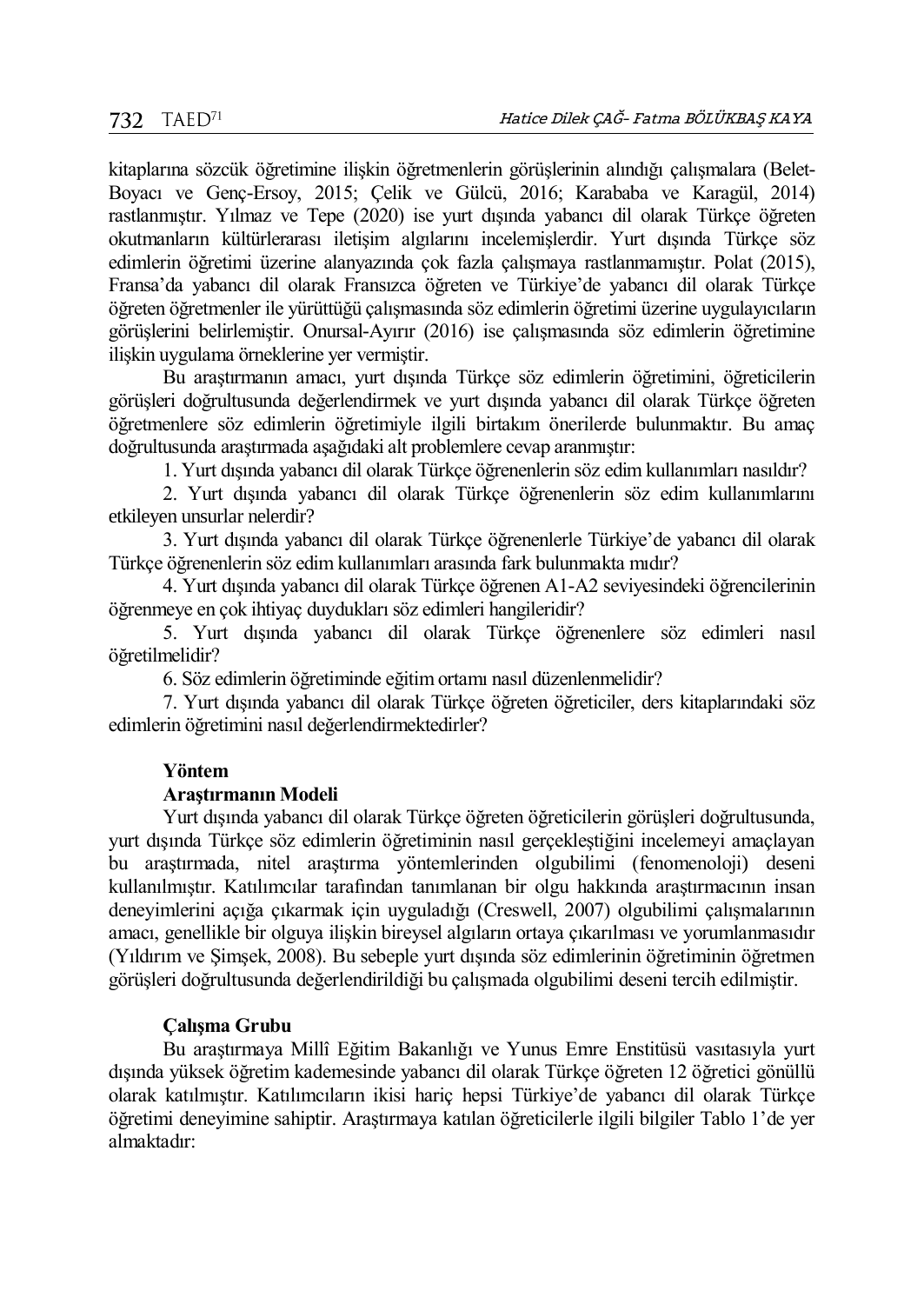kitaplarına sözcük öğretimine ilişkin öğretmenlerin görüşlerinin alındığı çalışmalara (Belet-Boyacı ve Genç-Ersoy, 2015; Çelik ve Gülcü, 2016; Karababa ve Karagül, 2014) rastlanmıştır. Yılmaz ve Tepe (2020) ise yurt dışında yabancı dil olarak Türkçe öğreten okutmanların kültürlerarası iletişim algılarını incelemişlerdir. Yurt dışında Türkçe söz edimlerin öğretimi üzerine alanyazında çok fazla çalışmaya rastlanmamıştır. Polat (2015), Fransa'da yabancı dil olarak Fransızca öğreten ve Türkiye'de yabancı dil olarak Türkçe öğreten öğretmenler ile yürüttüğü çalışmasında söz edimlerin öğretimi üzerine uygulayıcıların görüşlerini belirlemiştir. Onursal-Ayırır (2016) ise çalışmasında söz edimlerin öğretimine ilişkin uygulama örneklerine yer vermiştir.

Bu araştırmanın amacı, yurt dışında Türkçe söz edimlerin öğretimini, öğreticilerin görüşleri doğrultusunda değerlendirmek ve yurt dışında yabancı dil olarak Türkçe öğreten öğretmenlere söz edimlerin öğretimiyle ilgili birtakım önerilerde bulunmaktır. Bu amaç doğrultusunda araştırmada aşağıdaki alt problemlere cevap aranmıştır:

1. Yurt dışında yabancı dil olarak Türkçe öğrenenlerin söz edim kullanımları nasıldır?

2. Yurt dışında yabancı dil olarak Türkçe öğrenenlerin söz edim kullanımlarını etkileyen unsurlar nelerdir?

3. Yurt dışında yabancı dil olarak Türkçe öğrenenlerle Türkiye'de yabancı dil olarak Türkçe öğrenenlerin söz edim kullanımları arasında fark bulunmakta mıdır?

4. Yurt dışında yabancı dil olarak Türkçe öğrenen A1-A2 seviyesindeki öğrencilerinin öğrenmeye en çok ihtiyaç duydukları söz edimleri hangileridir?

5. Yurt dışında yabancı dil olarak Türkçe öğrenenlere söz edimleri nasıl öğretilmelidir?

6. Söz edimlerin öğretiminde eğitim ortamı nasıl düzenlenmelidir?

7. Yurt dışında yabancı dil olarak Türkçe öğreten öğreticiler, ders kitaplarındaki söz edimlerin öğretimini nasıl değerlendirmektedirler?

## **Yöntem**

## **Araştırmanın Modeli**

Yurt dışında yabancı dil olarak Türkçe öğreten öğreticilerin görüşleri doğrultusunda, yurt dışında Türkçe söz edimlerin öğretiminin nasıl gerçekleştiğini incelemeyi amaçlayan bu araştırmada, nitel araştırma yöntemlerinden olgubilimi (fenomenoloji) deseni kullanılmıştır. Katılımcılar tarafından tanımlanan bir olgu hakkında araştırmacının insan deneyimlerini açığa çıkarmak için uyguladığı (Creswell, 2007) olgubilimi çalışmalarının amacı, genellikle bir olguya ilişkin bireysel algıların ortaya çıkarılması ve yorumlanmasıdır (Yıldırım ve Şimşek, 2008). Bu sebeple yurt dışında söz edimlerinin öğretiminin öğretmen görüşleri doğrultusunda değerlendirildiği bu çalışmada olgubilimi deseni tercih edilmiştir.

# **Çalışma Grubu**

Bu araştırmaya Millî Eğitim Bakanlığı ve Yunus Emre Enstitüsü vasıtasıyla yurt dışında yüksek öğretim kademesinde yabancı dil olarak Türkçe öğreten 12 öğretici gönüllü olarak katılmıştır. Katılımcıların ikisi hariç hepsi Türkiye'de yabancı dil olarak Türkçe öğretimi deneyimine sahiptir. Araştırmaya katılan öğreticilerle ilgili bilgiler Tablo 1'de yer almaktadır: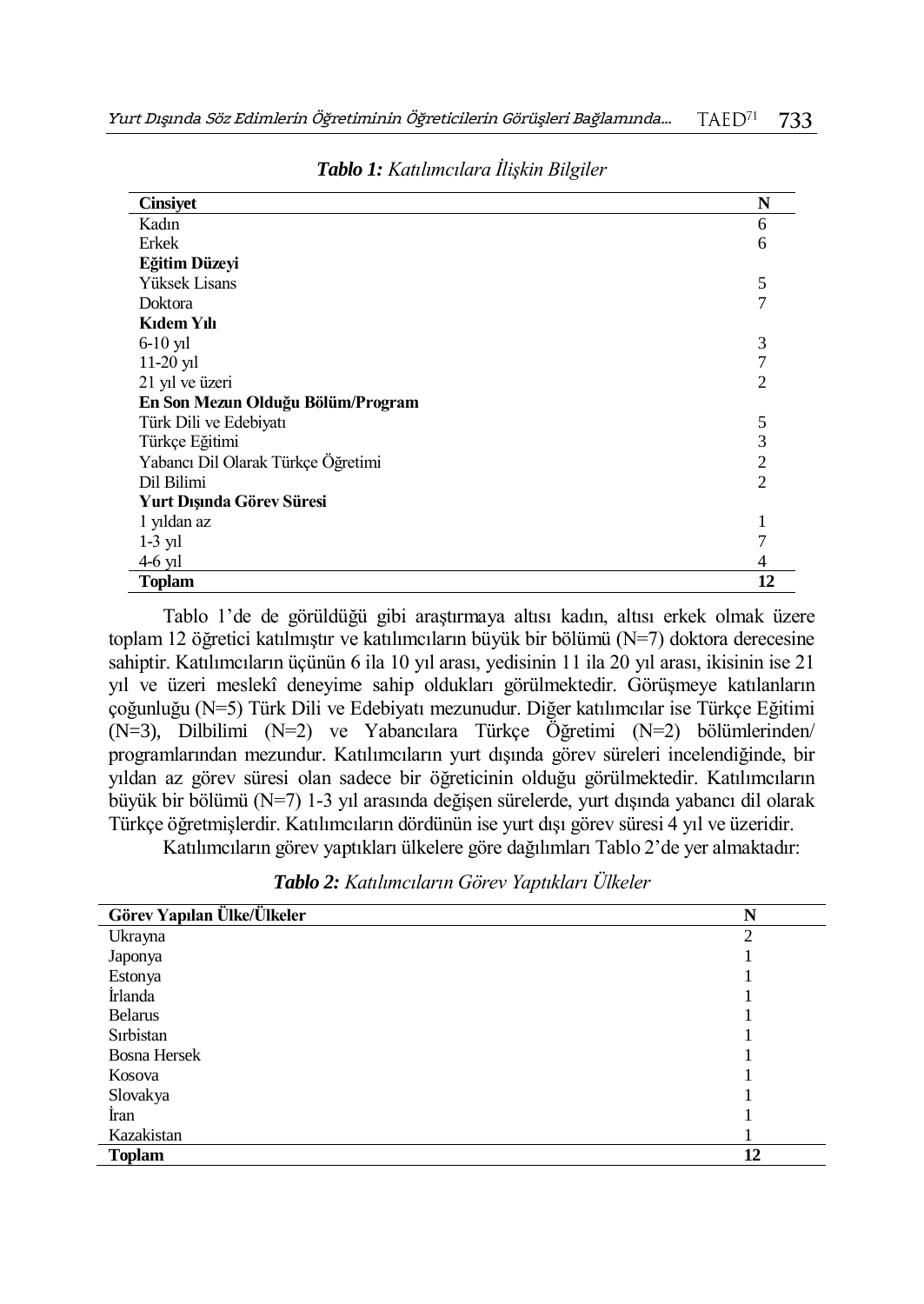| <b>Cinsiyet</b>                    | N              |
|------------------------------------|----------------|
| Kadın                              | 6              |
| Erkek                              | 6              |
| Eğitim Düzeyi                      |                |
| Yüksek Lisans                      | 5              |
| Doktora                            | 7              |
| Kidem Yili                         |                |
| $6-10$ yil                         | 3              |
| $11-20$ yil                        | 7              |
| 21 yıl ve üzeri                    | $\overline{c}$ |
| En Son Mezun Olduğu Bölüm/Program  |                |
| Türk Dili ve Edebiyatı             | 5              |
| Türkçe Eğitimi                     | $\overline{3}$ |
| Yabancı Dil Olarak Türkçe Öğretimi | $\overline{c}$ |
| Dil Bilimi                         | $\overline{c}$ |
| Yurt Dışında Görev Süresi          |                |
| 1 yıldan az                        | 1              |
| $1-3$ y <sub>1</sub>               | 7              |
| $4-6$ yıl                          | 4              |
| <b>Toplam</b>                      | 12             |

*Tablo 1: Katılımcılara İlişkin Bilgiler*

Tablo 1'de de görüldüğü gibi araştırmaya altısı kadın, altısı erkek olmak üzere toplam 12 öğretici katılmıştır ve katılımcıların büyük bir bölümü (N=7) doktora derecesine sahiptir. Katılımcıların üçünün 6 ila 10 yıl arası, yedisinin 11 ila 20 yıl arası, ikisinin ise 21 yıl ve üzeri meslekî deneyime sahip oldukları görülmektedir. Görüşmeye katılanların çoğunluğu (N=5) Türk Dili ve Edebiyatı mezunudur. Diğer katılımcılar ise Türkçe Eğitimi (N=3), Dilbilimi (N=2) ve Yabancılara Türkçe Öğretimi (N=2) bölümlerinden/ programlarından mezundur. Katılımcıların yurt dışında görev süreleri incelendiğinde, bir yıldan az görev süresi olan sadece bir öğreticinin olduğu görülmektedir. Katılımcıların büyük bir bölümü (N=7) 1-3 yıl arasında değişen sürelerde, yurt dışında yabancı dil olarak Türkçe öğretmişlerdir. Katılımcıların dördünün ise yurt dışı görev süresi 4 yıl ve üzeridir.

Katılımcıların görev yaptıkları ülkelere göre dağılımları Tablo 2'de yer almaktadır:

| Tablo 2: Katılımcıların Görev Yaptıkları Ülkeler |  |  |  |
|--------------------------------------------------|--|--|--|
|--------------------------------------------------|--|--|--|

| Görev Yapılan Ülke/Ülkeler | N              |
|----------------------------|----------------|
| Ukrayna                    | $\overline{c}$ |
| Japonya                    |                |
| Estonya                    |                |
| İrlanda                    |                |
| <b>Belarus</b>             |                |
| Sırbistan                  |                |
| <b>Bosna Hersek</b>        |                |
| Kosova                     |                |
| Slovakya                   |                |
| İran                       |                |
| Kazakistan                 |                |
| <b>Toplam</b>              | 12             |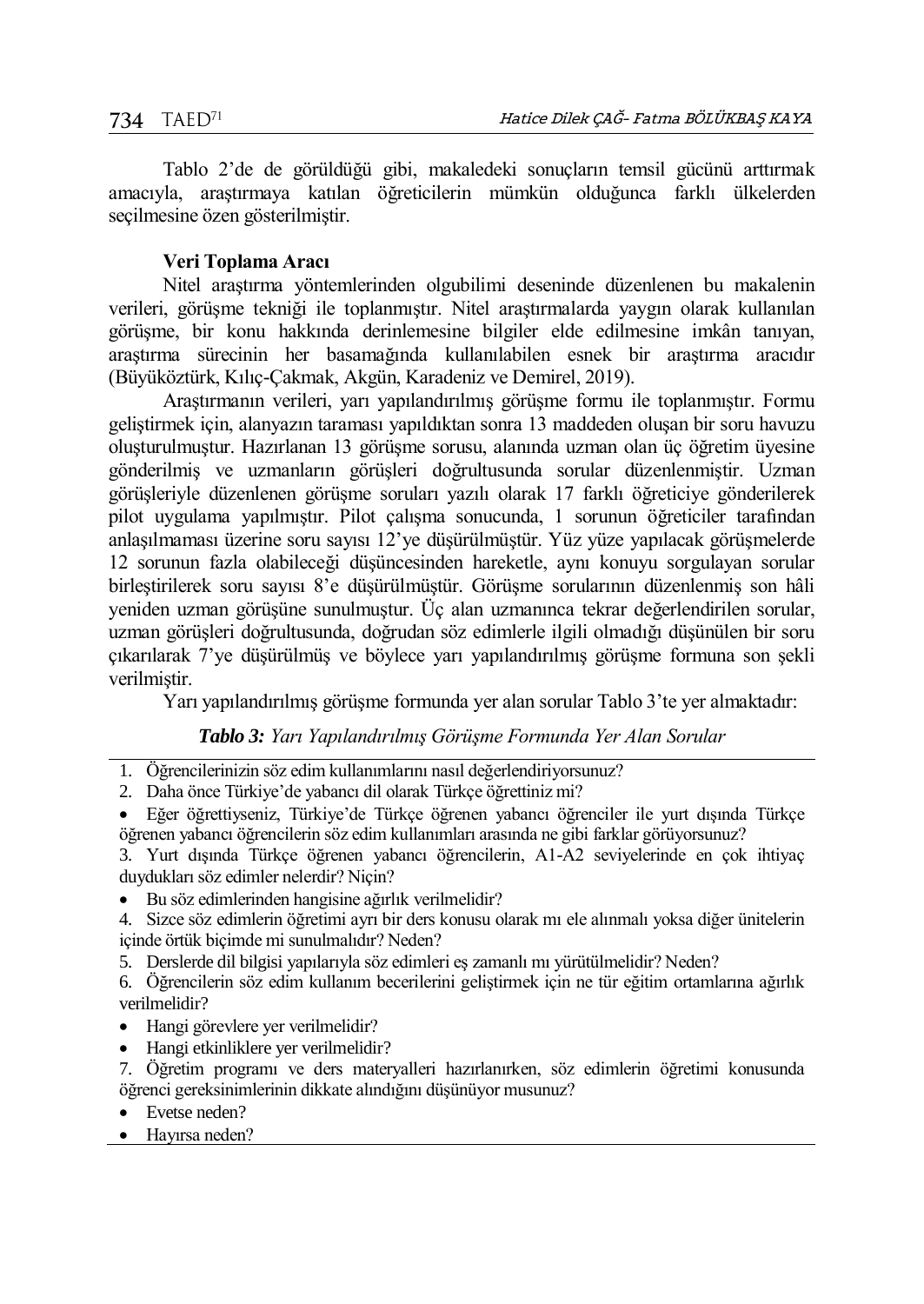Tablo 2'de de görüldüğü gibi, makaledeki sonuçların temsil gücünü arttırmak amacıyla, araştırmaya katılan öğreticilerin mümkün olduğunca farklı ülkelerden seçilmesine özen gösterilmiştir.

#### **Veri Toplama Aracı**

Nitel araştırma yöntemlerinden olgubilimi deseninde düzenlenen bu makalenin verileri, görüşme tekniği ile toplanmıştır. Nitel araştırmalarda yaygın olarak kullanılan görüşme, bir konu hakkında derinlemesine bilgiler elde edilmesine imkân tanıyan, araştırma sürecinin her basamağında kullanılabilen esnek bir araştırma aracıdır (Büyüköztürk, Kılıç-Çakmak, Akgün, Karadeniz ve Demirel, 2019).

Araştırmanın verileri, yarı yapılandırılmış görüşme formu ile toplanmıştır. Formu geliştirmek için, alanyazın taraması yapıldıktan sonra 13 maddeden oluşan bir soru havuzu oluşturulmuştur. Hazırlanan 13 görüşme sorusu, alanında uzman olan üç öğretim üyesine gönderilmiş ve uzmanların görüşleri doğrultusunda sorular düzenlenmiştir. Uzman görüşleriyle düzenlenen görüşme soruları yazılı olarak 17 farklı öğreticiye gönderilerek pilot uygulama yapılmıştır. Pilot çalışma sonucunda, 1 sorunun öğreticiler tarafından anlaşılmaması üzerine soru sayısı 12'ye düşürülmüştür. Yüz yüze yapılacak görüşmelerde 12 sorunun fazla olabileceği düşüncesinden hareketle, aynı konuyu sorgulayan sorular birleştirilerek soru sayısı 8'e düşürülmüştür. Görüşme sorularının düzenlenmiş son hâli yeniden uzman görüşüne sunulmuştur. Üç alan uzmanınca tekrar değerlendirilen sorular, uzman görüşleri doğrultusunda, doğrudan söz edimlerle ilgili olmadığı düşünülen bir soru çıkarılarak 7'ye düşürülmüş ve böylece yarı yapılandırılmış görüşme formuna son şekli verilmiştir.

Yarı yapılandırılmış görüşme formunda yer alan sorular Tablo 3'te yer almaktadır:

*Tablo 3: Yarı Yapılandırılmış Görüşme Formunda Yer Alan Sorular*

- 1. Öğrencilerinizin söz edim kullanımlarını nasıl değerlendiriyorsunuz?
- 2. Daha önce Türkiye'de yabancı dil olarak Türkçe öğrettiniz mi?
- Eğer öğrettiyseniz, Türkiye'de Türkçe öğrenen yabancı öğrenciler ile yurt dışında Türkçe öğrenen yabancı öğrencilerin söz edim kullanımları arasında ne gibi farklar görüyorsunuz?

3. Yurt dışında Türkçe öğrenen yabancı öğrencilerin, A1-A2 seviyelerinde en çok ihtiyaç duydukları söz edimler nelerdir? Niçin?

- Bu söz edimlerinden hangisine ağırlık verilmelidir?
- 4. Sizce söz edimlerin öğretimi ayrı bir ders konusu olarak mı ele alınmalı yoksa diğer ünitelerin içinde örtük biçimde mi sunulmalıdır? Neden?
- 5. Derslerde dil bilgisi yapılarıyla söz edimleri eş zamanlı mı yürütülmelidir? Neden?
- 6. Öğrencilerin söz edim kullanım becerilerini geliştirmek için ne tür eğitim ortamlarına ağırlık verilmelidir?
- Hangi görevlere yer verilmelidir?
- Hangi etkinliklere yer verilmelidir?
- 7. Öğretim programı ve ders materyalleri hazırlanırken, söz edimlerin öğretimi konusunda öğrenci gereksinimlerinin dikkate alındığını düşünüyor musunuz?
- Evetse neden?
- Hayırsa neden?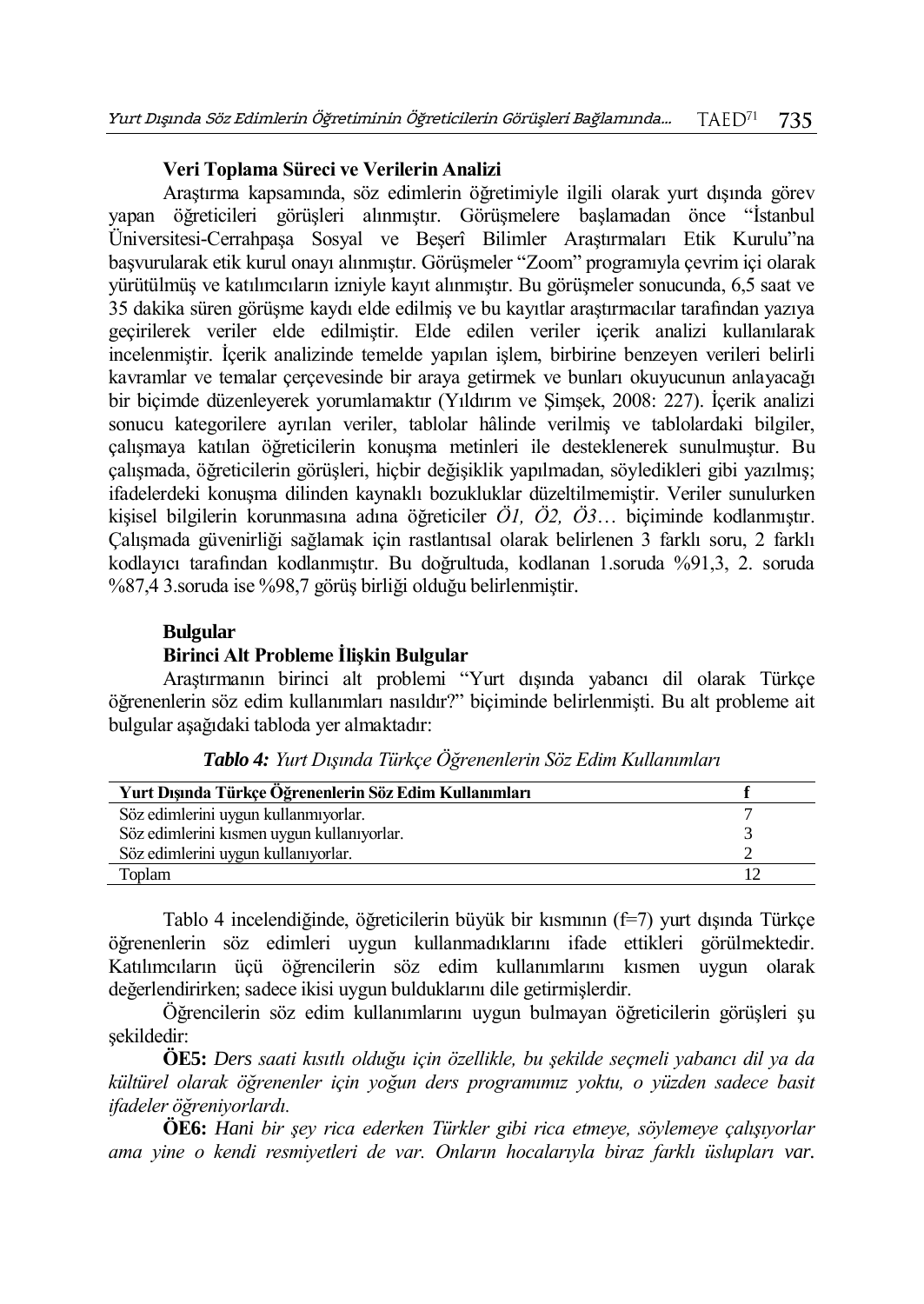## **Veri Toplama Süreci ve Verilerin Analizi**

Araştırma kapsamında, söz edimlerin öğretimiyle ilgili olarak yurt dışında görev yapan öğreticileri görüşleri alınmıştır. Görüşmelere başlamadan önce "İstanbul Üniversitesi-Cerrahpaşa Sosyal ve Beşerî Bilimler Araştırmaları Etik Kurulu"na başvurularak etik kurul onayı alınmıştır. Görüşmeler "Zoom" programıyla çevrim içi olarak yürütülmüş ve katılımcıların izniyle kayıt alınmıştır. Bu görüşmeler sonucunda, 6,5 saat ve 35 dakika süren görüşme kaydı elde edilmiş ve bu kayıtlar araştırmacılar tarafından yazıya geçirilerek veriler elde edilmiştir. Elde edilen veriler içerik analizi kullanılarak incelenmiştir. İçerik analizinde temelde yapılan işlem, birbirine benzeyen verileri belirli kavramlar ve temalar çerçevesinde bir araya getirmek ve bunları okuyucunun anlayacağı bir biçimde düzenleyerek yorumlamaktır (Yıldırım ve Şimşek, 2008: 227). İçerik analizi sonucu kategorilere ayrılan veriler, tablolar hâlinde verilmiş ve tablolardaki bilgiler, çalışmaya katılan öğreticilerin konuşma metinleri ile desteklenerek sunulmuştur. Bu çalışmada, öğreticilerin görüşleri, hiçbir değişiklik yapılmadan, söyledikleri gibi yazılmış; ifadelerdeki konuşma dilinden kaynaklı bozukluklar düzeltilmemiştir. Veriler sunulurken kişisel bilgilerin korunmasına adına öğreticiler *Ö1, Ö2, Ö3*… biçiminde kodlanmıştır. Çalışmada güvenirliği sağlamak için rastlantısal olarak belirlenen 3 farklı soru, 2 farklı kodlayıcı tarafından kodlanmıştır. Bu doğrultuda, kodlanan 1.soruda %91,3, 2. soruda %87,4 3.soruda ise %98,7 görüş birliği olduğu belirlenmiştir.

# **Bulgular**

## **Birinci Alt Probleme İlişkin Bulgular**

Araştırmanın birinci alt problemi "Yurt dışında yabancı dil olarak Türkçe öğrenenlerin söz edim kullanımları nasıldır?" biçiminde belirlenmişti. Bu alt probleme ait bulgular aşağıdaki tabloda yer almaktadır:

| Yurt Dışında Türkçe Öğrenenlerin Söz Edim Kullanımları |  |
|--------------------------------------------------------|--|
| Söz edimlerini uygun kullanmıyorlar.                   |  |
| Söz edimlerini kısmen uygun kullanıyorlar.             |  |
| Söz edimlerini uygun kullanıyorlar.                    |  |
| Toplam                                                 |  |

*Tablo 4: Yurt Dışında Türkçe Öğrenenlerin Söz Edim Kullanımları*

Tablo 4 incelendiğinde, öğreticilerin büyük bir kısmının (f=7) yurt dışında Türkçe öğrenenlerin söz edimleri uygun kullanmadıklarını ifade ettikleri görülmektedir. Katılımcıların üçü öğrencilerin söz edim kullanımlarını kısmen uygun olarak değerlendirirken; sadece ikisi uygun bulduklarını dile getirmişlerdir.

Öğrencilerin söz edim kullanımlarını uygun bulmayan öğreticilerin görüşleri şu şekildedir:

**ÖE5:** *Ders saati kısıtlı olduğu için özellikle, bu şekilde seçmeli yabancı dil ya da kültürel olarak öğrenenler için yoğun ders programımız yoktu, o yüzden sadece basit ifadeler öğreniyorlardı.*

**ÖE6:** *Hani bir şey rica ederken Türkler gibi rica etmeye, söylemeye çalışıyorlar ama yine o kendi resmiyetleri de var. Onların hocalarıyla biraz farklı üslupları var.*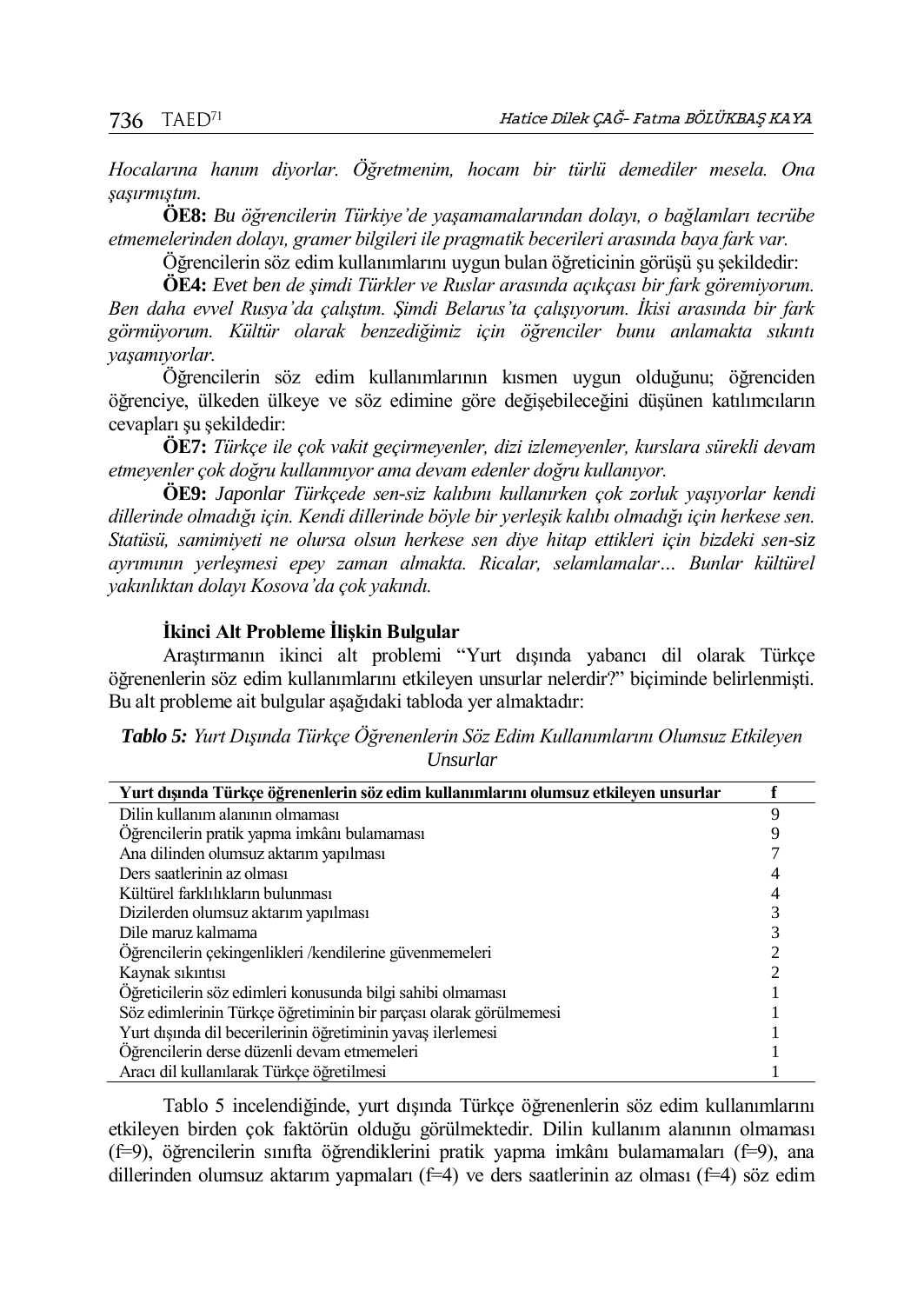*Hocalarına hanım diyorlar. Öğretmenim, hocam bir türlü demediler mesela. Ona şaşırmıştım.* 

**ÖE8:** *Bu öğrencilerin Türkiye'de yaşamamalarından dolayı, o bağlamları tecrübe etmemelerinden dolayı, gramer bilgileri ile pragmatik becerileri arasında baya fark var.*

Öğrencilerin söz edim kullanımlarını uygun bulan öğreticinin görüşü şu şekildedir:

**ÖE4:** *Evet ben de şimdi Türkler ve Ruslar arasında açıkçası bir fark göremiyorum. Ben daha evvel Rusya'da çalıştım. Şimdi Belarus'ta çalışıyorum. İkisi arasında bir fark görmüyorum. Kültür olarak benzediğimiz için öğrenciler bunu anlamakta sıkıntı yaşamıyorlar.*

Öğrencilerin söz edim kullanımlarının kısmen uygun olduğunu; öğrenciden öğrenciye, ülkeden ülkeye ve söz edimine göre değişebileceğini düşünen katılımcıların cevapları şu şekildedir:

**ÖE7:** *Türkçe ile çok vakit geçirmeyenler, dizi izlemeyenler, kurslara sürekli devam etmeyenler çok doğru kullanmıyor ama devam edenler doğru kullanıyor.*

**ÖE9:** *Japonlar Türkçede sen-siz kalıbını kullanırken çok zorluk yaşıyorlar kendi dillerinde olmadığı için. Kendi dillerinde böyle bir yerleşik kalıbı olmadığı için herkese sen. Statüsü, samimiyeti ne olursa olsun herkese sen diye hitap ettikleri için bizdeki sen-siz ayrımının yerleşmesi epey zaman almakta. Ricalar, selamlamalar… Bunlar kültürel yakınlıktan dolayı Kosova'da çok yakındı.*

#### **İkinci Alt Probleme İlişkin Bulgular**

Araştırmanın ikinci alt problemi "Yurt dışında yabancı dil olarak Türkçe öğrenenlerin söz edim kullanımlarını etkileyen unsurlar nelerdir?" biçiminde belirlenmişti. Bu alt probleme ait bulgular aşağıdaki tabloda yer almaktadır:

*Tablo 5: Yurt Dışında Türkçe Öğrenenlerin Söz Edim Kullanımlarını Olumsuz Etkileyen Unsurlar*

| Yurt dışında Türkçe öğrenenlerin söz edim kullanımlarını olumsuz etkileyen unsurlar |   |
|-------------------------------------------------------------------------------------|---|
| Dilin kullanım alanının olmaması                                                    | Q |
| Oğrencilerin pratik yapma imkânı bulamaması                                         |   |
| Ana dilinden olumsuz aktarım yapılması                                              |   |
| Ders saatlerinin az olması                                                          |   |
| Kültürel farklılıkların bulunması                                                   |   |
| Dizilerden olumsuz aktarım yapılması                                                |   |
| Dile maruz kalmama                                                                  |   |
| Oğrencilerin çekingenlikleri /kendilerine güvenmemeleri                             |   |
| Kaynak sıkıntısı                                                                    |   |
| Oğreticilerin söz edimleri konusunda bilgi sahibi olmaması                          |   |
| Söz edimlerinin Türkçe öğretiminin bir parçası olarak görülmemesi                   |   |
| Yurt dışında dil becerilerinin öğretiminin yavaş ilerlemesi                         |   |
| Öğrencilerin derse düzenli devam etmemeleri                                         |   |
| Aracı dil kullanılarak Türkce öğretilmesi                                           |   |

Tablo 5 incelendiğinde, yurt dışında Türkçe öğrenenlerin söz edim kullanımlarını etkileyen birden çok faktörün olduğu görülmektedir. Dilin kullanım alanının olmaması (f=9), öğrencilerin sınıfta öğrendiklerini pratik yapma imkânı bulamamaları (f=9), ana dillerinden olumsuz aktarım yapmaları (f=4) ve ders saatlerinin az olması (f=4) söz edim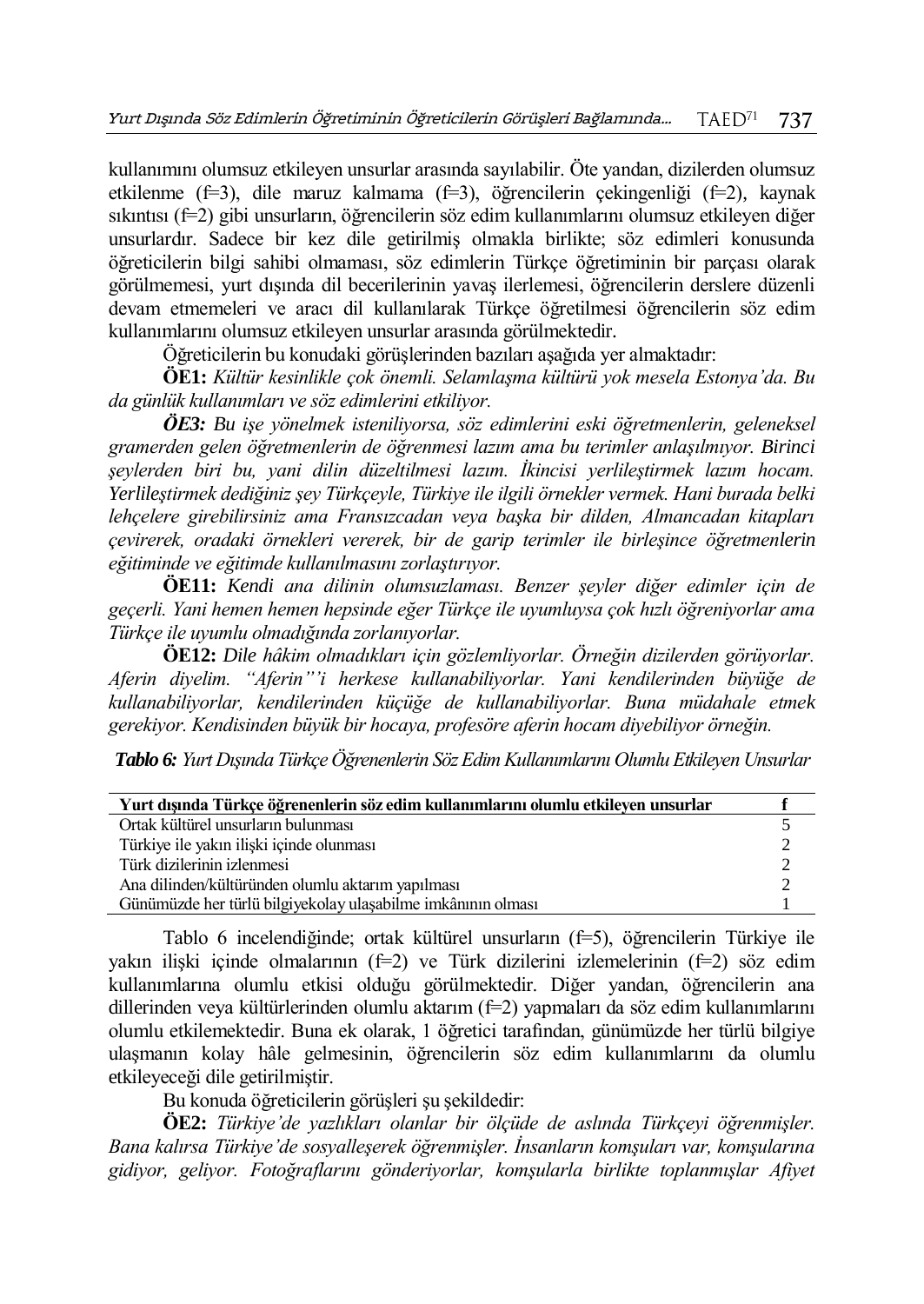kullanımını olumsuz etkileyen unsurlar arasında sayılabilir. Öte yandan, dizilerden olumsuz etkilenme (f=3), dile maruz kalmama (f=3), öğrencilerin çekingenliği (f=2), kaynak sıkıntısı (f=2) gibi unsurların, öğrencilerin söz edim kullanımlarını olumsuz etkileyen diğer unsurlardır. Sadece bir kez dile getirilmiş olmakla birlikte; söz edimleri konusunda öğreticilerin bilgi sahibi olmaması, söz edimlerin Türkçe öğretiminin bir parçası olarak görülmemesi, yurt dışında dil becerilerinin yavaş ilerlemesi, öğrencilerin derslere düzenli devam etmemeleri ve aracı dil kullanılarak Türkçe öğretilmesi öğrencilerin söz edim kullanımlarını olumsuz etkileyen unsurlar arasında görülmektedir.

Öğreticilerin bu konudaki görüşlerinden bazıları aşağıda yer almaktadır:

**ÖE1:** *Kültür kesinlikle çok önemli. Selamlaşma kültürü yok mesela Estonya'da. Bu da günlük kullanımları ve söz edimlerini etkiliyor.* 

*ÖE3: Bu işe yönelmek isteniliyorsa, söz edimlerini eski öğretmenlerin, geleneksel gramerden gelen öğretmenlerin de öğrenmesi lazım ama bu terimler anlaşılmıyor. Birinci şeylerden biri bu, yani dilin düzeltilmesi lazım. İkincisi yerlileştirmek lazım hocam. Yerlileştirmek dediğiniz şey Türkçeyle, Türkiye ile ilgili örnekler vermek. Hani burada belki lehçelere girebilirsiniz ama Fransızcadan veya başka bir dilden, Almancadan kitapları çevirerek, oradaki örnekleri vererek, bir de garip terimler ile birleşince öğretmenlerin eğitiminde ve eğitimde kullanılmasını zorlaştırıyor.*

**ÖE11:** *Kendi ana dilinin olumsuzlaması. Benzer şeyler diğer edimler için de geçerli. Yani hemen hemen hepsinde eğer Türkçe ile uyumluysa çok hızlı öğreniyorlar ama Türkçe ile uyumlu olmadığında zorlanıyorlar.* 

**ÖE12:** *Dile hâkim olmadıkları için gözlemliyorlar. Örneğin dizilerden görüyorlar. Aferin diyelim. "Aferin"'i herkese kullanabiliyorlar. Yani kendilerinden büyüğe de kullanabiliyorlar, kendilerinden küçüğe de kullanabiliyorlar. Buna müdahale etmek gerekiyor. Kendisinden büyük bir hocaya, profesöre aferin hocam diyebiliyor örneğin.*

*Tablo 6: Yurt Dışında Türkçe Öğrenenlerin Söz Edim Kullanımlarını Olumlu Etkileyen Unsurlar*

| Yurt dışında Türkçe öğrenenlerin söz edim kullanımlarını olumlu etkileyen unsurlar |  |
|------------------------------------------------------------------------------------|--|
| Ortak kültürel unsurların bulunması                                                |  |
| Türkiye ile yakın ilişki içinde olunması                                           |  |
| Türk dizilerinin izlenmesi                                                         |  |
| Ana dilinden/kültüründen olumlu aktarım yapılması                                  |  |
| Günümüzde her türlü bilgiyekolay ulaşabilme imkânının olması                       |  |

Tablo 6 incelendiğinde; ortak kültürel unsurların (f=5), öğrencilerin Türkiye ile yakın ilişki içinde olmalarının  $(f=2)$  ve Türk dizilerini izlemelerinin  $(f=2)$  söz edim kullanımlarına olumlu etkisi olduğu görülmektedir. Diğer yandan, öğrencilerin ana dillerinden veya kültürlerinden olumlu aktarım (f=2) yapmaları da söz edim kullanımlarını olumlu etkilemektedir. Buna ek olarak, 1 öğretici tarafından, günümüzde her türlü bilgiye ulaşmanın kolay hâle gelmesinin, öğrencilerin söz edim kullanımlarını da olumlu etkileyeceği dile getirilmiştir.

Bu konuda öğreticilerin görüşleri şu şekildedir:

**ÖE2:** *Türkiye'de yazlıkları olanlar bir ölçüde de aslında Türkçeyi öğrenmişler. Bana kalırsa Türkiye'de sosyalleşerek öğrenmişler. İnsanların komşuları var, komşularına gidiyor, geliyor. Fotoğraflarını gönderiyorlar, komşularla birlikte toplanmışlar Afiyet*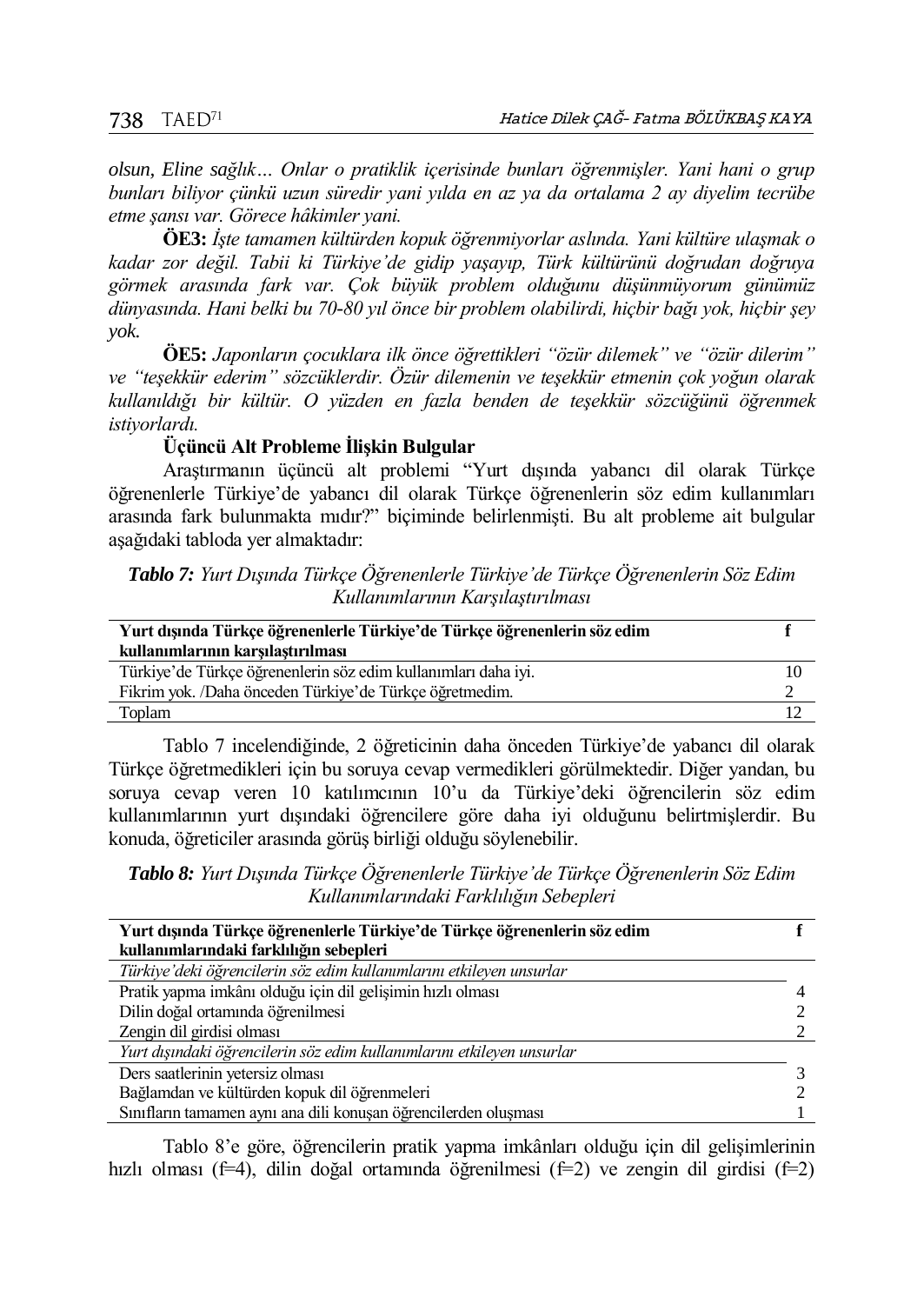*olsun, Eline sağlık… Onlar o pratiklik içerisinde bunları öğrenmişler. Yani hani o grup bunları biliyor çünkü uzun süredir yani yılda en az ya da ortalama 2 ay diyelim tecrübe etme şansı var. Görece hâkimler yani.*

**ÖE3:** *İşte tamamen kültürden kopuk öğrenmiyorlar aslında. Yani kültüre ulaşmak o kadar zor değil. Tabii ki Türkiye'de gidip yaşayıp, Türk kültürünü doğrudan doğruya görmek arasında fark var. Çok büyük problem olduğunu düşünmüyorum günümüz dünyasında. Hani belki bu 70-80 yıl önce bir problem olabilirdi, hiçbir bağı yok, hiçbir şey yok.* 

**ÖE5:** *Japonların çocuklara ilk önce öğrettikleri "özür dilemek" ve "özür dilerim" ve "teşekkür ederim" sözcüklerdir. Özür dilemenin ve teşekkür etmenin çok yoğun olarak kullanıldığı bir kültür. O yüzden en fazla benden de teşekkür sözcüğünü öğrenmek istiyorlardı.*

**Üçüncü Alt Probleme İlişkin Bulgular**

Araştırmanın üçüncü alt problemi "Yurt dışında yabancı dil olarak Türkçe öğrenenlerle Türkiye'de yabancı dil olarak Türkçe öğrenenlerin söz edim kullanımları arasında fark bulunmakta mıdır?" biçiminde belirlenmişti. Bu alt probleme ait bulgular aşağıdaki tabloda yer almaktadır:

*Tablo 7: Yurt Dışında Türkçe Öğrenenlerle Türkiye'de Türkçe Öğrenenlerin Söz Edim Kullanımlarının Karşılaştırılması*

| Yurt dışında Türkçe öğrenenlerle Türkiye'de Türkçe öğrenenlerin söz edim |  |
|--------------------------------------------------------------------------|--|
| kullanımlarının karsılastırılması                                        |  |
| Türkiye'de Türkçe öğrenenlerin söz edim kullanımları daha iyi.           |  |
| Fikrim yok. /Daha önceden Türkiye'de Türkçe öğretmedim.                  |  |
| Toplam                                                                   |  |

Tablo 7 incelendiğinde, 2 öğreticinin daha önceden Türkiye'de yabancı dil olarak Türkçe öğretmedikleri için bu soruya cevap vermedikleri görülmektedir. Diğer yandan, bu soruya cevap veren 10 katılımcının 10'u da Türkiye'deki öğrencilerin söz edim kullanımlarının yurt dışındaki öğrencilere göre daha iyi olduğunu belirtmişlerdir. Bu konuda, öğreticiler arasında görüş birliği olduğu söylenebilir.

*Tablo 8: Yurt Dışında Türkçe Öğrenenlerle Türkiye'de Türkçe Öğrenenlerin Söz Edim Kullanımlarındaki Farklılığın Sebepleri*

| Yurt dışında Türkçe öğrenenlerle Türkiye'de Türkçe öğrenenlerin söz edim |  |
|--------------------------------------------------------------------------|--|
| kullanımlarındaki farklılığın sebepleri                                  |  |
| Türkiye'deki öğrencilerin söz edim kullanımlarını etkileyen unsurlar     |  |
| Pratik yapma imkânı olduğu için dil gelişimin hızlı olması               |  |
| Dilin doğal ortamında öğrenilmesi                                        |  |
| Zengin dil girdisi olması                                                |  |
| Yurt dışındaki öğrencilerin söz edim kullanımlarını etkileyen unsurlar   |  |
| Ders saatlerinin yetersiz olması                                         |  |
| Bağlamdan ve kültürden kopuk dil öğrenmeleri                             |  |
| Sınıfların tamamen aynı ana dili konusan öğrencilerden oluşması          |  |

Tablo 8'e göre, öğrencilerin pratik yapma imkânları olduğu için dil gelişimlerinin hızlı olması (f=4), dilin doğal ortamında öğrenilmesi (f=2) ve zengin dil girdisi (f=2)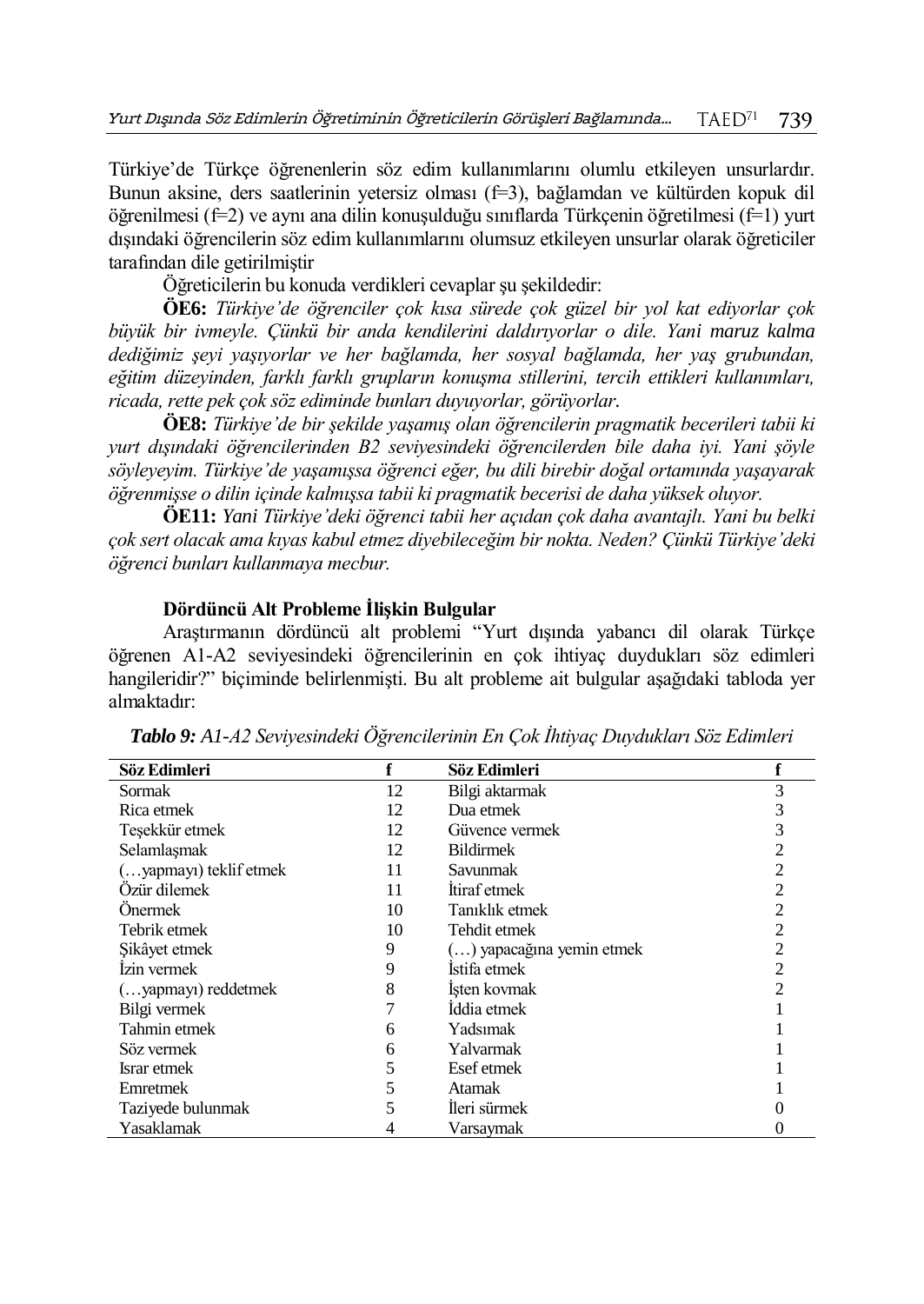Türkiye'de Türkçe öğrenenlerin söz edim kullanımlarını olumlu etkileyen unsurlardır. Bunun aksine, ders saatlerinin yetersiz olması (f=3), bağlamdan ve kültürden kopuk dil öğrenilmesi (f=2) ve aynı ana dilin konuşulduğu sınıflarda Türkçenin öğretilmesi (f=1) yurt dışındaki öğrencilerin söz edim kullanımlarını olumsuz etkileyen unsurlar olarak öğreticiler tarafından dile getirilmiştir

Öğreticilerin bu konuda verdikleri cevaplar şu şekildedir:

**ÖE6:** *Türkiye'de öğrenciler çok kısa sürede çok güzel bir yol kat ediyorlar çok büyük bir ivmeyle. Çünkü bir anda kendilerini daldırıyorlar o dile. Yani maruz kalma dediğimiz şeyi yaşıyorlar ve her bağlamda, her sosyal bağlamda, her yaş grubundan, eğitim düzeyinden, farklı farklı grupların konuşma stillerini, tercih ettikleri kullanımları, ricada, rette pek çok söz ediminde bunları duyuyorlar, görüyorlar.*

**ÖE8:** *Türkiye'de bir şekilde yaşamış olan öğrencilerin pragmatik becerileri tabii ki yurt dışındaki öğrencilerinden B2 seviyesindeki öğrencilerden bile daha iyi. Yani şöyle söyleyeyim. Türkiye'de yaşamışsa öğrenci eğer, bu dili birebir doğal ortamında yaşayarak öğrenmişse o dilin içinde kalmışsa tabii ki pragmatik becerisi de daha yüksek oluyor.*

**ÖE11:** *Yani Türkiye'deki öğrenci tabii her açıdan çok daha avantajlı. Yani bu belki çok sert olacak ama kıyas kabul etmez diyebileceğim bir nokta. Neden? Çünkü Türkiye'deki öğrenci bunları kullanmaya mecbur.*

## **Dördüncü Alt Probleme İlişkin Bulgular**

Araştırmanın dördüncü alt problemi "Yurt dışında yabancı dil olarak Türkçe öğrenen A1-A2 seviyesindeki öğrencilerinin en çok ihtiyaç duydukları söz edimleri hangileridir?" biçiminde belirlenmişti. Bu alt probleme ait bulgular aşağıdaki tabloda yer almaktadır:

| Söz Edimleri           |    | Söz Edimleri              |  |
|------------------------|----|---------------------------|--|
| Sormak                 | 12 | Bilgi aktarmak            |  |
| Rica etmek             | 12 | Dua etmek                 |  |
| Teşekkür etmek         | 12 | Güvence vermek            |  |
| Selamlaşmak            | 12 | <b>Bildirmek</b>          |  |
| (yapmayı) teklif etmek | 11 | Savunmak                  |  |
| Özür dilemek           | 11 | Itiraf etmek              |  |
| <b>Onermek</b>         | 10 | Tanıklık etmek            |  |
| Tebrik etmek           | 10 | Tehdit etmek              |  |
| Sikâyet etmek          | 9  | () yapacağına yemin etmek |  |
| Izin vermek            | 9  | Istifa etmek              |  |
| (yapmayı) reddetmek    | 8  | Isten kovmak              |  |
| Bilgi vermek           |    | Iddia etmek               |  |
| Tahmin etmek           | 6  | Yadsımak                  |  |
| Söz vermek             | 6  | Yalvarmak                 |  |
| Israr etmek            | 5  | Esef etmek                |  |
| Emretmek               | 5  | <b>Atamak</b>             |  |
| Taziyede bulunmak      |    | Ileri sürmek              |  |
| Yasaklamak             |    | Varsaymak                 |  |

*Tablo 9: A1-A2 Seviyesindeki Öğrencilerinin En Çok İhtiyaç Duydukları Söz Edimleri*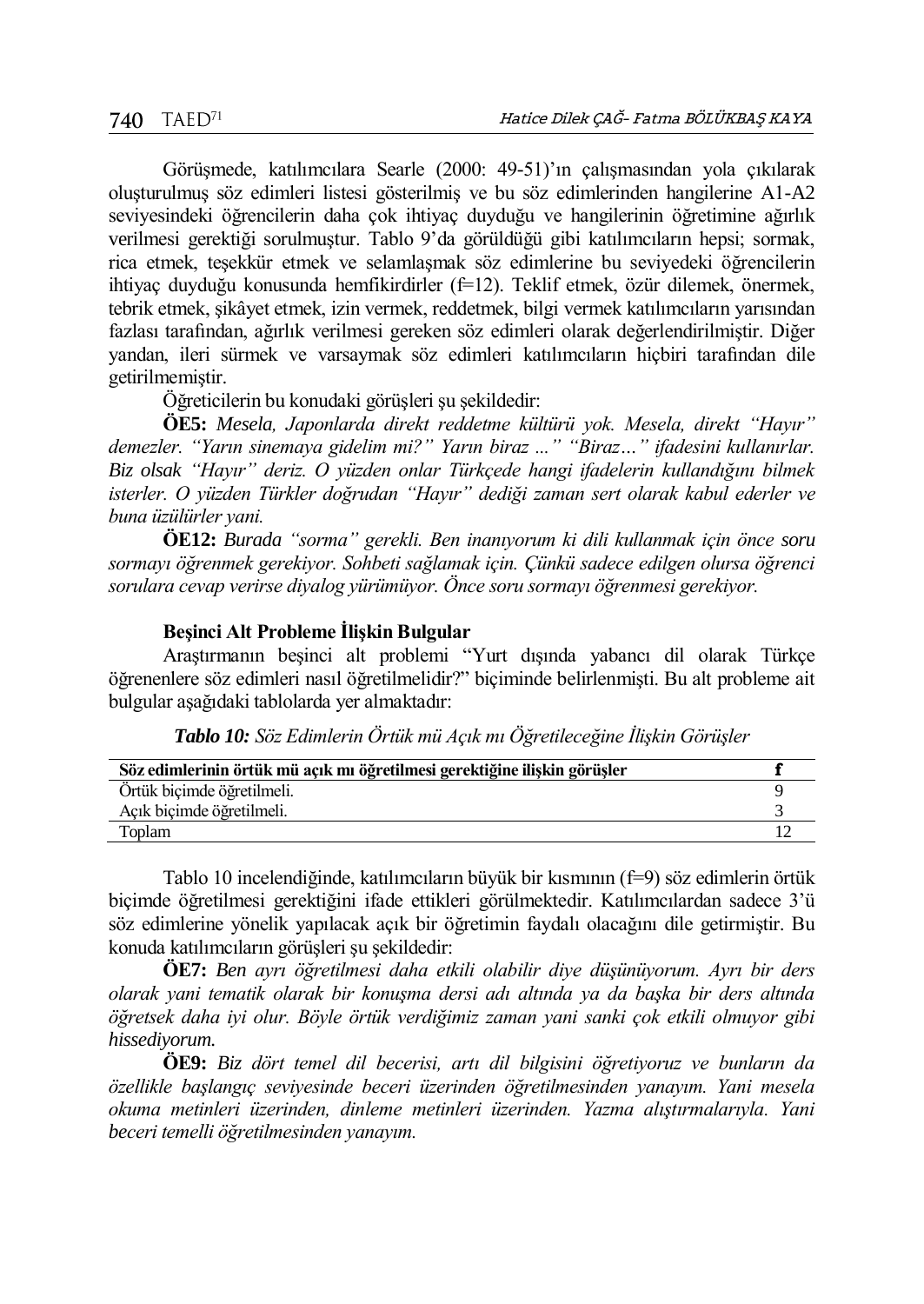Görüşmede, katılımcılara Searle (2000: 49-51)'ın çalışmasından yola çıkılarak oluşturulmuş söz edimleri listesi gösterilmiş ve bu söz edimlerinden hangilerine A1-A2 seviyesindeki öğrencilerin daha çok ihtiyaç duyduğu ve hangilerinin öğretimine ağırlık verilmesi gerektiği sorulmuştur. Tablo 9'da görüldüğü gibi katılımcıların hepsi; sormak, rica etmek, teşekkür etmek ve selamlaşmak söz edimlerine bu seviyedeki öğrencilerin ihtiyaç duyduğu konusunda hemfikirdirler (f=12). Teklif etmek, özür dilemek, önermek, tebrik etmek, şikâyet etmek, izin vermek, reddetmek, bilgi vermek katılımcıların yarısından fazlası tarafından, ağırlık verilmesi gereken söz edimleri olarak değerlendirilmiştir. Diğer yandan, ileri sürmek ve varsaymak söz edimleri katılımcıların hiçbiri tarafından dile getirilmemiştir.

Öğreticilerin bu konudaki görüşleri şu şekildedir:

**ÖE5:** *Mesela, Japonlarda direkt reddetme kültürü yok. Mesela, direkt "Hayır" demezler. "Yarın sinemaya gidelim mi?" Yarın biraz ..." "Biraz…" ifadesini kullanırlar. Biz olsak "Hayır" deriz. O yüzden onlar Türkçede hangi ifadelerin kullandığını bilmek isterler. O yüzden Türkler doğrudan "Hayır" dediği zaman sert olarak kabul ederler ve buna üzülürler yani.*

**ÖE12:** *Burada "sorma" gerekli. Ben inanıyorum ki dili kullanmak için önce soru sormayı öğrenmek gerekiyor. Sohbeti sağlamak için. Çünkü sadece edilgen olursa öğrenci sorulara cevap verirse diyalog yürümüyor. Önce soru sormayı öğrenmesi gerekiyor.*

# **Beşinci Alt Probleme İlişkin Bulgular**

Araştırmanın beşinci alt problemi "Yurt dışında yabancı dil olarak Türkçe öğrenenlere söz edimleri nasıl öğretilmelidir?" biçiminde belirlenmişti. Bu alt probleme ait bulgular aşağıdaki tablolarda yer almaktadır:

| Söz edimlerinin örtük mü acık mı öğretilmesi gerektiğine ilişkin görüşler |  |
|---------------------------------------------------------------------------|--|
| Örtük biçimde öğretilmeli.                                                |  |
| Açık biçimde öğretilmeli.                                                 |  |
| Toplam                                                                    |  |

*Tablo 10: Söz Edimlerin Örtük mü Açık mı Öğretileceğine İlişkin Görüşler*

Tablo 10 incelendiğinde, katılımcıların büyük bir kısmının (f=9) söz edimlerin örtük biçimde öğretilmesi gerektiğini ifade ettikleri görülmektedir. Katılımcılardan sadece 3'ü söz edimlerine yönelik yapılacak açık bir öğretimin faydalı olacağını dile getirmiştir. Bu konuda katılımcıların görüşleri şu şekildedir:

**ÖE7:** *Ben ayrı öğretilmesi daha etkili olabilir diye düşünüyorum. Ayrı bir ders olarak yani tematik olarak bir konuşma dersi adı altında ya da başka bir ders altında öğretsek daha iyi olur. Böyle örtük verdiğimiz zaman yani sanki çok etkili olmuyor gibi hissediyorum.*

**ÖE9:** *Biz dört temel dil becerisi, artı dil bilgisini öğretiyoruz ve bunların da özellikle başlangıç seviyesinde beceri üzerinden öğretilmesinden yanayım. Yani mesela okuma metinleri üzerinden, dinleme metinleri üzerinden. Yazma alıştırmalarıyla. Yani beceri temelli öğretilmesinden yanayım.*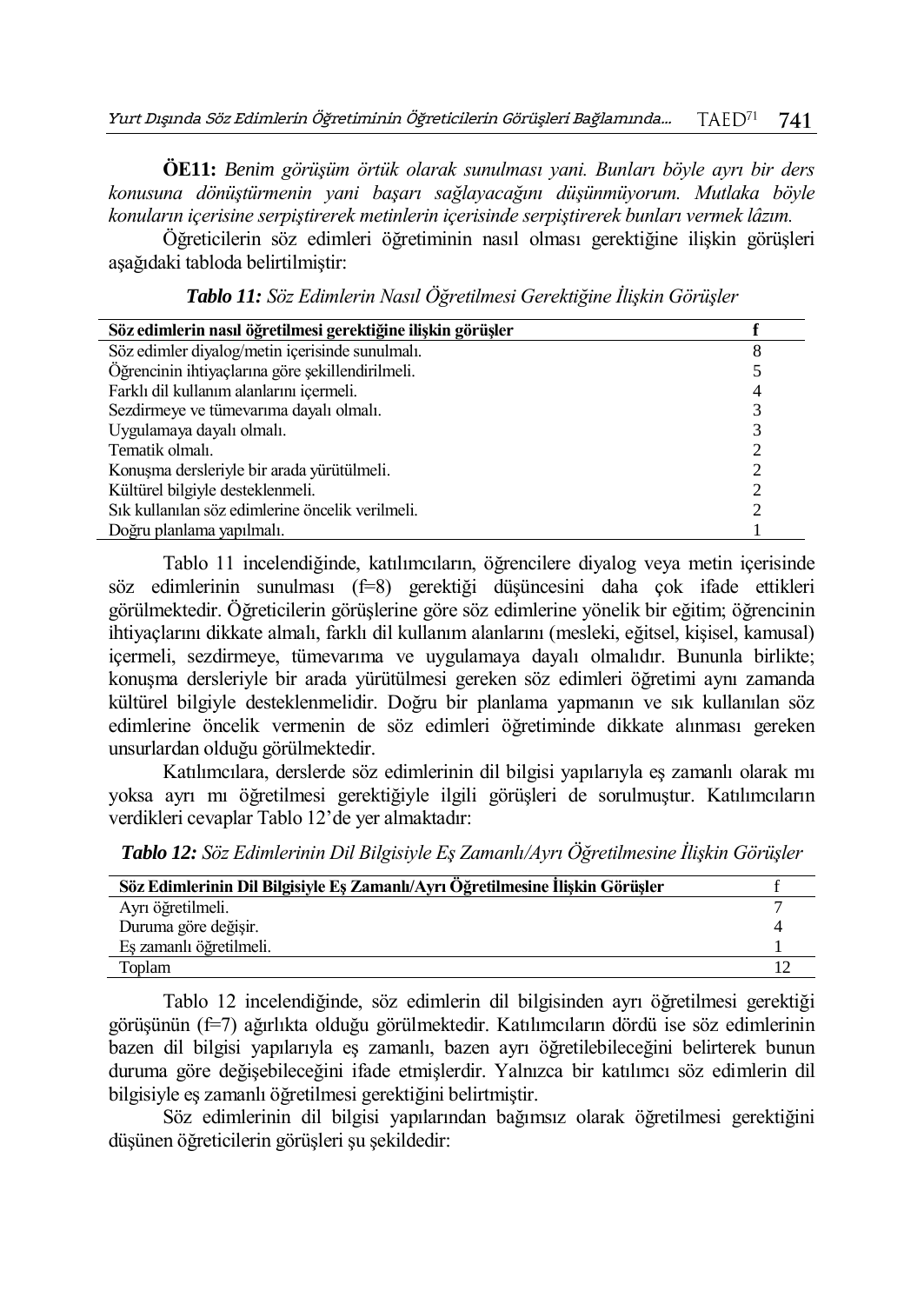**ÖE11:** *Benim görüşüm örtük olarak sunulması yani. Bunları böyle ayrı bir ders konusuna dönüştürmenin yani başarı sağlayacağını düşünmüyorum. Mutlaka böyle konuların içerisine serpiştirerek metinlerin içerisinde serpiştirerek bunları vermek lâzım.*

Öğreticilerin söz edimleri öğretiminin nasıl olması gerektiğine ilişkin görüşleri aşağıdaki tabloda belirtilmiştir:

| Söz edimlerin nasıl öğretilmesi gerektiğine ilişkin görüşler |   |
|--------------------------------------------------------------|---|
| Söz edimler diyalog/metin içerisinde sunulmalı.              | 8 |
| Öğrencinin ihtiyaçlarına göre sekillendirilmeli.             |   |
| Farklı dil kullanım alanlarını içermeli.                     |   |
| Sezdirmeye ve tümevarıma dayalı olmalı.                      |   |
| Uygulamaya dayalı olmalı.                                    |   |
| Tematik olmalı.                                              |   |
| Konuşma dersleriyle bir arada yürütülmeli.                   |   |
| Kültürel bilgiyle desteklenmeli.                             |   |
| Sık kullanılan söz edimlerine öncelik verilmeli.             |   |
| Doğru planlama yapılmalı.                                    |   |

*Tablo 11: Söz Edimlerin Nasıl Öğretilmesi Gerektiğine İlişkin Görüşler*

Tablo 11 incelendiğinde, katılımcıların, öğrencilere diyalog veya metin içerisinde söz edimlerinin sunulması (f=8) gerektiği düşüncesini daha çok ifade ettikleri görülmektedir. Öğreticilerin görüşlerine göre söz edimlerine yönelik bir eğitim; öğrencinin ihtiyaçlarını dikkate almalı, farklı dil kullanım alanlarını (mesleki, eğitsel, kişisel, kamusal) içermeli, sezdirmeye, tümevarıma ve uygulamaya dayalı olmalıdır. Bununla birlikte; konuşma dersleriyle bir arada yürütülmesi gereken söz edimleri öğretimi aynı zamanda kültürel bilgiyle desteklenmelidir. Doğru bir planlama yapmanın ve sık kullanılan söz edimlerine öncelik vermenin de söz edimleri öğretiminde dikkate alınması gereken unsurlardan olduğu görülmektedir.

Katılımcılara, derslerde söz edimlerinin dil bilgisi yapılarıyla eş zamanlı olarak mı yoksa ayrı mı öğretilmesi gerektiğiyle ilgili görüşleri de sorulmuştur. Katılımcıların verdikleri cevaplar Tablo 12'de yer almaktadır:

*Tablo 12: Söz Edimlerinin Dil Bilgisiyle Eş Zamanlı/Ayrı Öğretilmesine İlişkin Görüşler*

| Söz Edimlerinin Dil Bilgisiyle Eş Zamanlı/Ayrı Oğretilmesine Ilişkin Görüşler |  |
|-------------------------------------------------------------------------------|--|
| Ayrı öğretilmeli.                                                             |  |
| Duruma göre değişir.                                                          |  |
| Eş zamanlı öğretilmeli.                                                       |  |
| Toplam                                                                        |  |

Tablo 12 incelendiğinde, söz edimlerin dil bilgisinden ayrı öğretilmesi gerektiği görüşünün (f=7) ağırlıkta olduğu görülmektedir. Katılımcıların dördü ise söz edimlerinin bazen dil bilgisi yapılarıyla eş zamanlı, bazen ayrı öğretilebileceğini belirterek bunun duruma göre değişebileceğini ifade etmişlerdir. Yalnızca bir katılımcı söz edimlerin dil bilgisiyle eş zamanlı öğretilmesi gerektiğini belirtmiştir.

Söz edimlerinin dil bilgisi yapılarından bağımsız olarak öğretilmesi gerektiğini düşünen öğreticilerin görüşleri şu şekildedir: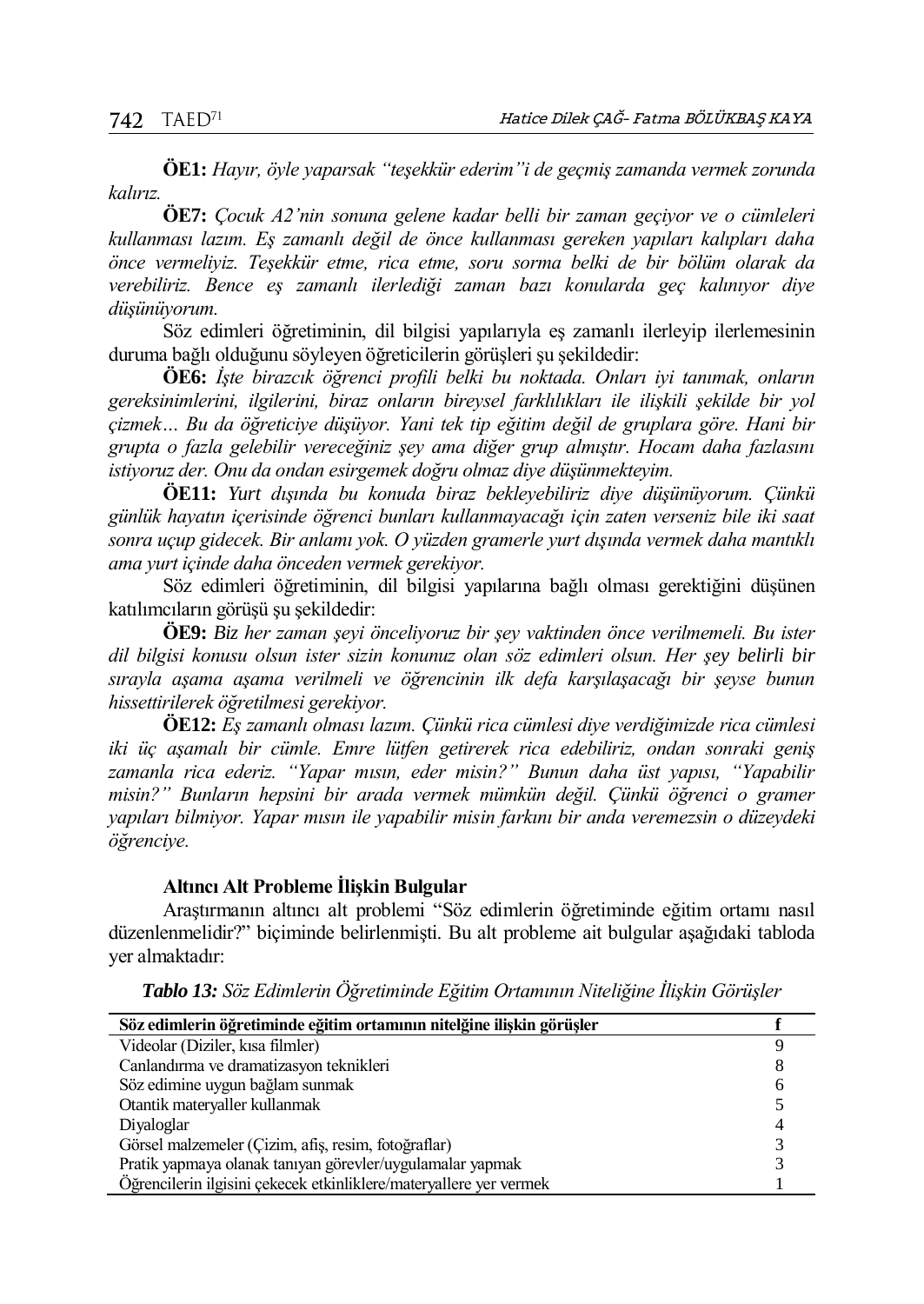**ÖE1:** *Hayır, öyle yaparsak "teşekkür ederim"i de geçmiş zamanda vermek zorunda kalırız.*

**ÖE7:** *Çocuk A2'nin sonuna gelene kadar belli bir zaman geçiyor ve o cümleleri kullanması lazım. Eş zamanlı değil de önce kullanması gereken yapıları kalıpları daha önce vermeliyiz. Teşekkür etme, rica etme, soru sorma belki de bir bölüm olarak da verebiliriz. Bence eş zamanlı ilerlediği zaman bazı konularda geç kalınıyor diye düşünüyorum.*

Söz edimleri öğretiminin, dil bilgisi yapılarıyla eş zamanlı ilerleyip ilerlemesinin duruma bağlı olduğunu söyleyen öğreticilerin görüşleri şu şekildedir:

**ÖE6:** *İşte birazcık öğrenci profili belki bu noktada. Onları iyi tanımak, onların gereksinimlerini, ilgilerini, biraz onların bireysel farklılıkları ile ilişkili şekilde bir yol çizmek… Bu da öğreticiye düşüyor. Yani tek tip eğitim değil de gruplara göre. Hani bir grupta o fazla gelebilir vereceğiniz şey ama diğer grup almıştır. Hocam daha fazlasını istiyoruz der. Onu da ondan esirgemek doğru olmaz diye düşünmekteyim.*

**ÖE11:** *Yurt dışında bu konuda biraz bekleyebiliriz diye düşünüyorum. Çünkü günlük hayatın içerisinde öğrenci bunları kullanmayacağı için zaten verseniz bile iki saat sonra uçup gidecek. Bir anlamı yok. O yüzden gramerle yurt dışında vermek daha mantıklı ama yurt içinde daha önceden vermek gerekiyor.* 

Söz edimleri öğretiminin, dil bilgisi yapılarına bağlı olması gerektiğini düşünen katılımcıların görüşü şu şekildedir:

**ÖE9:** *Biz her zaman şeyi önceliyoruz bir şey vaktinden önce verilmemeli. Bu ister dil bilgisi konusu olsun ister sizin konunuz olan söz edimleri olsun. Her şey belirli bir sırayla aşama aşama verilmeli ve öğrencinin ilk defa karşılaşacağı bir şeyse bunun hissettirilerek öğretilmesi gerekiyor.*

**ÖE12:** *Eş zamanlı olması lazım. Çünkü rica cümlesi diye verdiğimizde rica cümlesi iki üç aşamalı bir cümle. Emre lütfen getirerek rica edebiliriz, ondan sonraki geniş zamanla rica ederiz. "Yapar mısın, eder misin?" Bunun daha üst yapısı, "Yapabilir misin?" Bunların hepsini bir arada vermek mümkün değil. Çünkü öğrenci o gramer yapıları bilmiyor. Yapar mısın ile yapabilir misin farkını bir anda veremezsin o düzeydeki öğrenciye.*

## **Altıncı Alt Probleme İlişkin Bulgular**

Araştırmanın altıncı alt problemi "Söz edimlerin öğretiminde eğitim ortamı nasıl düzenlenmelidir?" biçiminde belirlenmişti. Bu alt probleme ait bulgular aşağıdaki tabloda yer almaktadır:

| Söz edimlerin öğretiminde eğitim ortamının nitelğine ilişkin görüşler |  |
|-----------------------------------------------------------------------|--|
| Videolar (Diziler, kısa filmler)                                      |  |
| Canlandırma ve dramatizasyon teknikleri                               |  |
| Söz edimine uygun bağlam sunmak                                       |  |
| Otantik materyaller kullanmak                                         |  |
| Divaloglar                                                            |  |
| Görsel malzemeler (Cizim, afiş, resim, fotoğraflar)                   |  |
| Pratik yapmaya olanak tanıyan görevler/uygulamalar yapmak             |  |
| Öğrencilerin ilgisini çekecek etkinliklere/materyallere yer vermek    |  |

*Tablo 13: Söz Edimlerin Öğretiminde Eğitim Ortamının Niteliğine İlişkin Görüşler*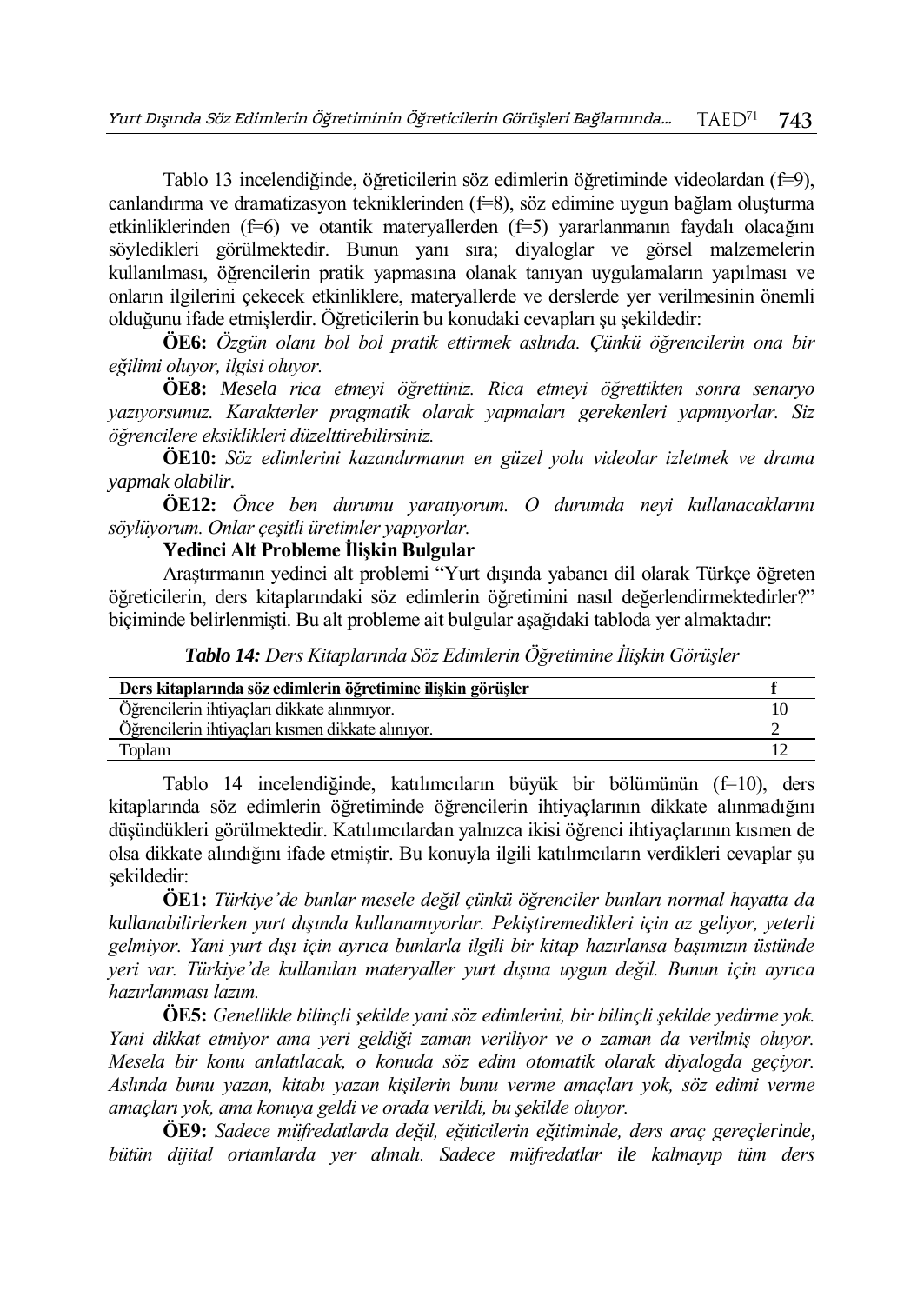Tablo 13 incelendiğinde, öğreticilerin söz edimlerin öğretiminde videolardan (f=9), canlandırma ve dramatizasyon tekniklerinden (f=8), söz edimine uygun bağlam oluşturma etkinliklerinden (f=6) ve otantik materyallerden (f=5) yararlanmanın faydalı olacağını söyledikleri görülmektedir. Bunun yanı sıra; diyaloglar ve görsel malzemelerin kullanılması, öğrencilerin pratik yapmasına olanak tanıyan uygulamaların yapılması ve onların ilgilerini çekecek etkinliklere, materyallerde ve derslerde yer verilmesinin önemli olduğunu ifade etmişlerdir. Öğreticilerin bu konudaki cevapları şu şekildedir:

**ÖE6:** *Özgün olanı bol bol pratik ettirmek aslında. Çünkü öğrencilerin ona bir eğilimi oluyor, ilgisi oluyor.*

**ÖE8:** *Mesela rica etmeyi öğrettiniz. Rica etmeyi öğrettikten sonra senaryo yazıyorsunuz. Karakterler pragmatik olarak yapmaları gerekenleri yapmıyorlar. Siz öğrencilere eksiklikleri düzelttirebilirsiniz.*

**ÖE10:** *Söz edimlerini kazandırmanın en güzel yolu videolar izletmek ve drama yapmak olabilir.*

**ÖE12:** *Önce ben durumu yaratıyorum. O durumda neyi kullanacaklarını söylüyorum. Onlar çeşitli üretimler yapıyorlar.*

**Yedinci Alt Probleme İlişkin Bulgular**

Araştırmanın yedinci alt problemi "Yurt dışında yabancı dil olarak Türkçe öğreten öğreticilerin, ders kitaplarındaki söz edimlerin öğretimini nasıl değerlendirmektedirler?" biçiminde belirlenmişti. Bu alt probleme ait bulgular aşağıdaki tabloda yer almaktadır:

*Tablo 14: Ders Kitaplarında Söz Edimlerin Öğretimine İlişkin Görüşler*

| Ders kitaplarında söz edimlerin öğretimine ilişkin görüşler |  |
|-------------------------------------------------------------|--|
| Öğrencilerin ihtiyaçları dikkate alınmıyor.                 |  |
| Öğrencilerin ihtiyacları kısmen dikkate alınıyor.           |  |
| Toplam                                                      |  |

Tablo 14 incelendiğinde, katılımcıların büyük bir bölümünün (f=10), ders kitaplarında söz edimlerin öğretiminde öğrencilerin ihtiyaçlarının dikkate alınmadığını düşündükleri görülmektedir. Katılımcılardan yalnızca ikisi öğrenci ihtiyaçlarının kısmen de olsa dikkate alındığını ifade etmiştir. Bu konuyla ilgili katılımcıların verdikleri cevaplar şu şekildedir:

**ÖE1:** *Türkiye'de bunlar mesele değil çünkü öğrenciler bunları normal hayatta da kullanabilirlerken yurt dışında kullanamıyorlar. Pekiştiremedikleri için az geliyor, yeterli gelmiyor. Yani yurt dışı için ayrıca bunlarla ilgili bir kitap hazırlansa başımızın üstünde yeri var. Türkiye'de kullanılan materyaller yurt dışına uygun değil. Bunun için ayrıca hazırlanması lazım.*

**ÖE5:** *Genellikle bilinçli şekilde yani söz edimlerini, bir bilinçli şekilde yedirme yok. Yani dikkat etmiyor ama yeri geldiği zaman veriliyor ve o zaman da verilmiş oluyor. Mesela bir konu anlatılacak, o konuda söz edim otomatik olarak diyalogda geçiyor. Aslında bunu yazan, kitabı yazan kişilerin bunu verme amaçları yok, söz edimi verme amaçları yok, ama konuya geldi ve orada verildi, bu şekilde oluyor.*

**ÖE9:** *Sadece müfredatlarda değil, eğiticilerin eğitiminde, ders araç gereçlerinde, bütün dijital ortamlarda yer almalı. Sadece müfredatlar ile kalmayıp tüm ders*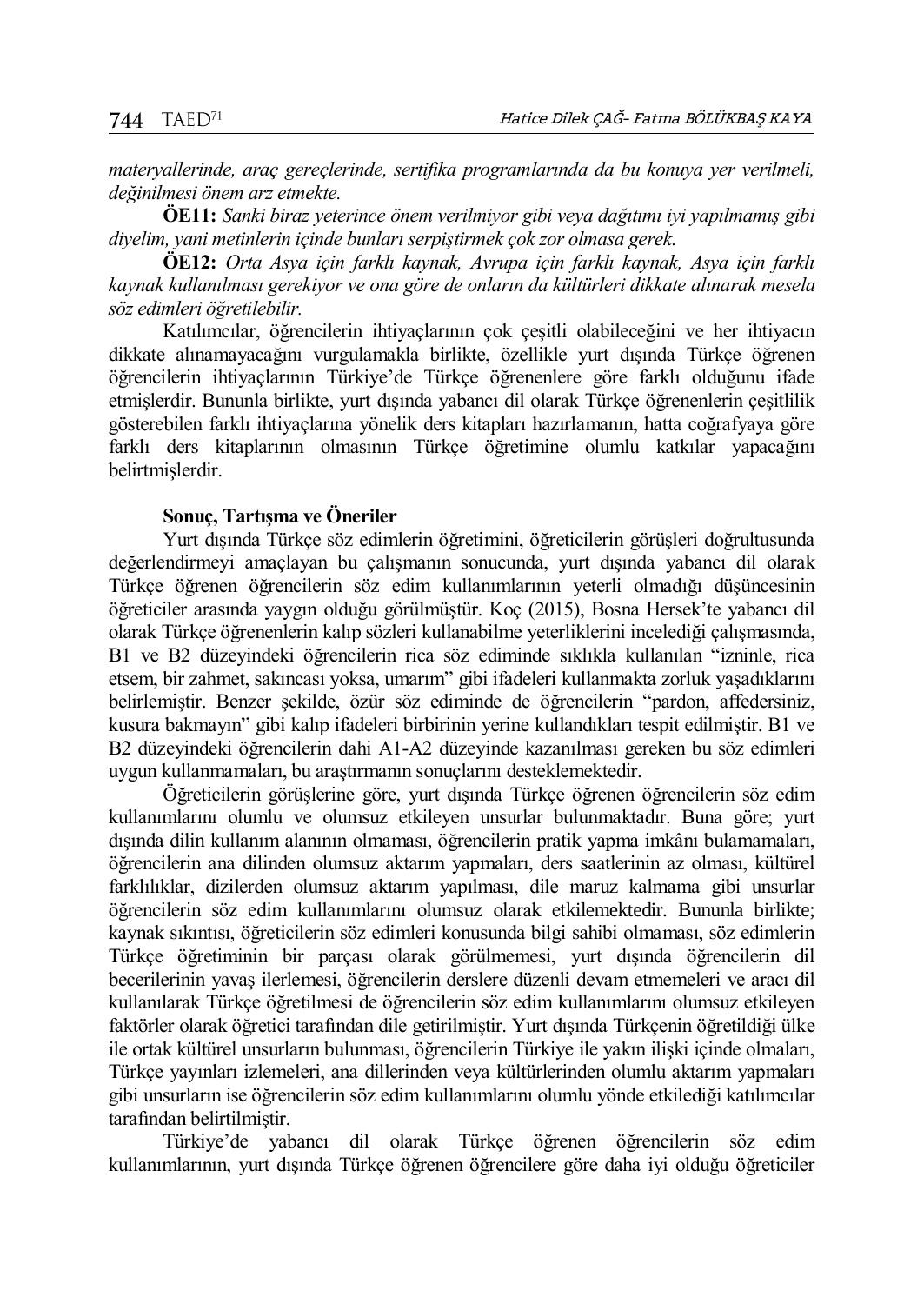*materyallerinde, araç gereçlerinde, sertifika programlarında da bu konuya yer verilmeli, değinilmesi önem arz etmekte.* 

**ÖE11:** *Sanki biraz yeterince önem verilmiyor gibi veya dağıtımı iyi yapılmamış gibi diyelim, yani metinlerin içinde bunları serpiştirmek çok zor olmasa gerek.*

**ÖE12:** *Orta Asya için farklı kaynak, Avrupa için farklı kaynak, Asya için farklı kaynak kullanılması gerekiyor ve ona göre de onların da kültürleri dikkate alınarak mesela söz edimleri öğretilebilir.*

Katılımcılar, öğrencilerin ihtiyaçlarının çok çeşitli olabileceğini ve her ihtiyacın dikkate alınamayacağını vurgulamakla birlikte, özellikle yurt dışında Türkçe öğrenen öğrencilerin ihtiyaçlarının Türkiye'de Türkçe öğrenenlere göre farklı olduğunu ifade etmişlerdir. Bununla birlikte, yurt dışında yabancı dil olarak Türkçe öğrenenlerin çeşitlilik gösterebilen farklı ihtiyaçlarına yönelik ders kitapları hazırlamanın, hatta coğrafyaya göre farklı ders kitaplarının olmasının Türkçe öğretimine olumlu katkılar yapacağını belirtmişlerdir.

## **Sonuç, Tartışma ve Öneriler**

Yurt dışında Türkçe söz edimlerin öğretimini, öğreticilerin görüşleri doğrultusunda değerlendirmeyi amaçlayan bu çalışmanın sonucunda, yurt dışında yabancı dil olarak Türkçe öğrenen öğrencilerin söz edim kullanımlarının yeterli olmadığı düşüncesinin öğreticiler arasında yaygın olduğu görülmüştür. Koç (2015), Bosna Hersek'te yabancı dil olarak Türkçe öğrenenlerin kalıp sözleri kullanabilme yeterliklerini incelediği çalışmasında, B1 ve B2 düzeyindeki öğrencilerin rica söz ediminde sıklıkla kullanılan "izninle, rica etsem, bir zahmet, sakıncası yoksa, umarım" gibi ifadeleri kullanmakta zorluk yaşadıklarını belirlemiştir. Benzer şekilde, özür söz ediminde de öğrencilerin "pardon, affedersiniz, kusura bakmayın" gibi kalıp ifadeleri birbirinin yerine kullandıkları tespit edilmiştir. B1 ve B2 düzeyindeki öğrencilerin dahi A1-A2 düzeyinde kazanılması gereken bu söz edimleri uygun kullanmamaları, bu araştırmanın sonuçlarını desteklemektedir.

Öğreticilerin görüşlerine göre, yurt dışında Türkçe öğrenen öğrencilerin söz edim kullanımlarını olumlu ve olumsuz etkileyen unsurlar bulunmaktadır. Buna göre; yurt dışında dilin kullanım alanının olmaması, öğrencilerin pratik yapma imkânı bulamamaları, öğrencilerin ana dilinden olumsuz aktarım yapmaları, ders saatlerinin az olması, kültürel farklılıklar, dizilerden olumsuz aktarım yapılması, dile maruz kalmama gibi unsurlar öğrencilerin söz edim kullanımlarını olumsuz olarak etkilemektedir. Bununla birlikte; kaynak sıkıntısı, öğreticilerin söz edimleri konusunda bilgi sahibi olmaması, söz edimlerin Türkçe öğretiminin bir parçası olarak görülmemesi, yurt dışında öğrencilerin dil becerilerinin yavaş ilerlemesi, öğrencilerin derslere düzenli devam etmemeleri ve aracı dil kullanılarak Türkçe öğretilmesi de öğrencilerin söz edim kullanımlarını olumsuz etkileyen faktörler olarak öğretici tarafından dile getirilmiştir. Yurt dışında Türkçenin öğretildiği ülke ile ortak kültürel unsurların bulunması, öğrencilerin Türkiye ile yakın ilişki içinde olmaları, Türkçe yayınları izlemeleri, ana dillerinden veya kültürlerinden olumlu aktarım yapmaları gibi unsurların ise öğrencilerin söz edim kullanımlarını olumlu yönde etkilediği katılımcılar tarafından belirtilmiştir.

Türkiye'de yabancı dil olarak Türkçe öğrenen öğrencilerin söz edim kullanımlarının, yurt dışında Türkçe öğrenen öğrencilere göre daha iyi olduğu öğreticiler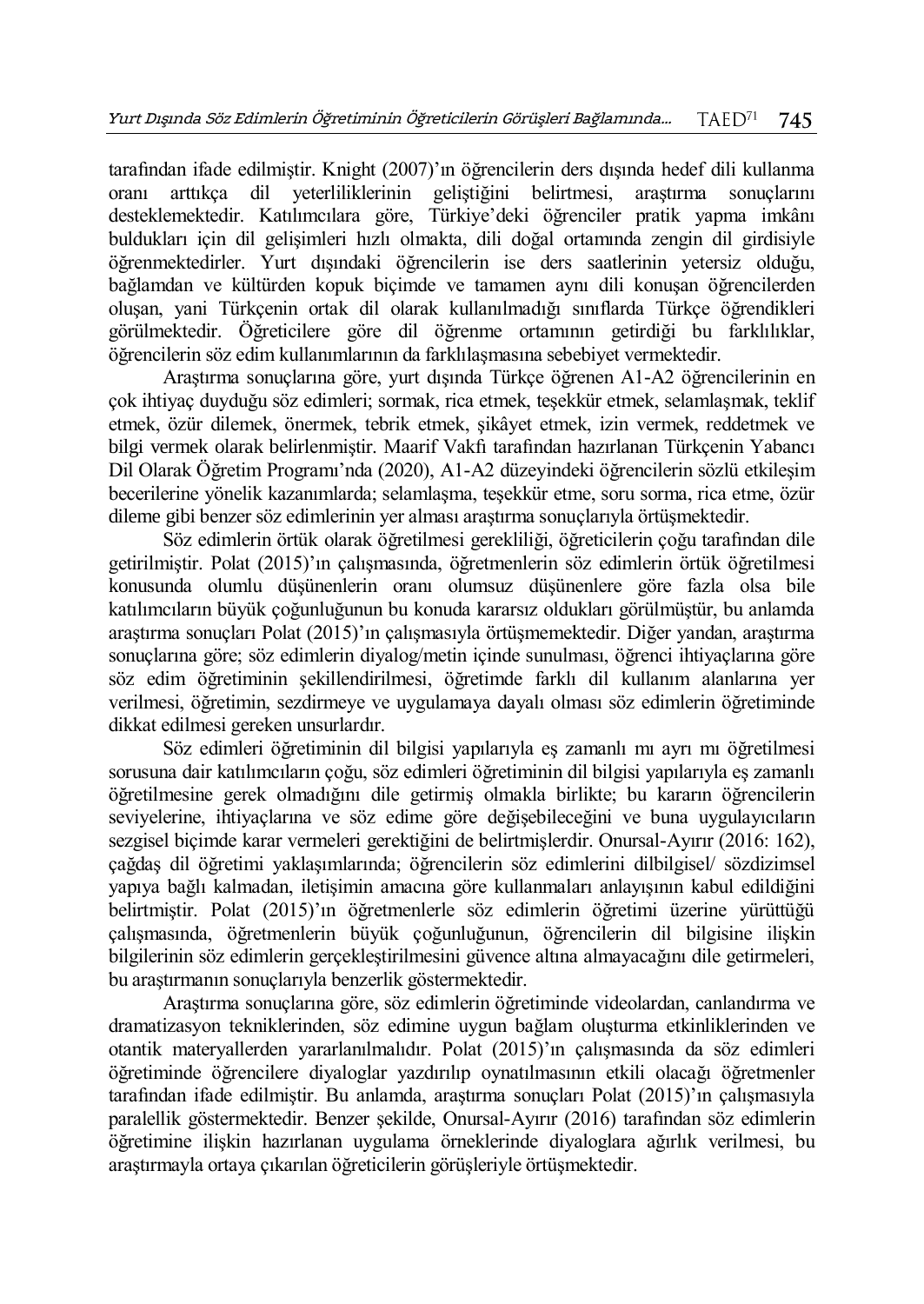tarafından ifade edilmiştir. Knight (2007)'ın öğrencilerin ders dışında hedef dili kullanma oranı arttıkça dil yeterliliklerinin geliştiğini belirtmesi, araştırma sonuçlarını desteklemektedir. Katılımcılara göre, Türkiye'deki öğrenciler pratik yapma imkânı buldukları için dil gelişimleri hızlı olmakta, dili doğal ortamında zengin dil girdisiyle öğrenmektedirler. Yurt dışındaki öğrencilerin ise ders saatlerinin yetersiz olduğu, bağlamdan ve kültürden kopuk biçimde ve tamamen aynı dili konuşan öğrencilerden oluşan, yani Türkçenin ortak dil olarak kullanılmadığı sınıflarda Türkçe öğrendikleri görülmektedir. Öğreticilere göre dil öğrenme ortamının getirdiği bu farklılıklar, öğrencilerin söz edim kullanımlarının da farklılaşmasına sebebiyet vermektedir.

Araştırma sonuçlarına göre, yurt dışında Türkçe öğrenen A1-A2 öğrencilerinin en çok ihtiyaç duyduğu söz edimleri; sormak, rica etmek, teşekkür etmek, selamlaşmak, teklif etmek, özür dilemek, önermek, tebrik etmek, şikâyet etmek, izin vermek, reddetmek ve bilgi vermek olarak belirlenmiştir. Maarif Vakfı tarafından hazırlanan Türkçenin Yabancı Dil Olarak Öğretim Programı'nda (2020), A1-A2 düzeyindeki öğrencilerin sözlü etkileşim becerilerine yönelik kazanımlarda; selamlaşma, teşekkür etme, soru sorma, rica etme, özür dileme gibi benzer söz edimlerinin yer alması araştırma sonuçlarıyla örtüşmektedir.

Söz edimlerin örtük olarak öğretilmesi gerekliliği, öğreticilerin çoğu tarafından dile getirilmiştir. Polat (2015)'ın çalışmasında, öğretmenlerin söz edimlerin örtük öğretilmesi konusunda olumlu düşünenlerin oranı olumsuz düşünenlere göre fazla olsa bile katılımcıların büyük çoğunluğunun bu konuda kararsız oldukları görülmüştür, bu anlamda araştırma sonuçları Polat (2015)'ın çalışmasıyla örtüşmemektedir. Diğer yandan, araştırma sonuçlarına göre; söz edimlerin diyalog/metin içinde sunulması, öğrenci ihtiyaçlarına göre söz edim öğretiminin şekillendirilmesi, öğretimde farklı dil kullanım alanlarına yer verilmesi, öğretimin, sezdirmeye ve uygulamaya dayalı olması söz edimlerin öğretiminde dikkat edilmesi gereken unsurlardır.

Söz edimleri öğretiminin dil bilgisi yapılarıyla eş zamanlı mı ayrı mı öğretilmesi sorusuna dair katılımcıların çoğu, söz edimleri öğretiminin dil bilgisi yapılarıyla eş zamanlı öğretilmesine gerek olmadığını dile getirmiş olmakla birlikte; bu kararın öğrencilerin seviyelerine, ihtiyaçlarına ve söz edime göre değişebileceğini ve buna uygulayıcıların sezgisel biçimde karar vermeleri gerektiğini de belirtmişlerdir. Onursal-Ayırır (2016: 162), çağdaş dil öğretimi yaklaşımlarında; öğrencilerin söz edimlerini dilbilgisel/ sözdizimsel yapıya bağlı kalmadan, iletişimin amacına göre kullanmaları anlayışının kabul edildiğini belirtmiştir. Polat (2015)'ın öğretmenlerle söz edimlerin öğretimi üzerine yürüttüğü çalışmasında, öğretmenlerin büyük çoğunluğunun, öğrencilerin dil bilgisine ilişkin bilgilerinin söz edimlerin gerçekleştirilmesini güvence altına almayacağını dile getirmeleri, bu araştırmanın sonuçlarıyla benzerlik göstermektedir.

Araştırma sonuçlarına göre, söz edimlerin öğretiminde videolardan, canlandırma ve dramatizasyon tekniklerinden, söz edimine uygun bağlam oluşturma etkinliklerinden ve otantik materyallerden yararlanılmalıdır. Polat (2015)'ın çalışmasında da söz edimleri öğretiminde öğrencilere diyaloglar yazdırılıp oynatılmasının etkili olacağı öğretmenler tarafından ifade edilmiştir. Bu anlamda, araştırma sonuçları Polat (2015)'ın çalışmasıyla paralellik göstermektedir. Benzer şekilde, Onursal-Ayırır (2016) tarafından söz edimlerin öğretimine ilişkin hazırlanan uygulama örneklerinde diyaloglara ağırlık verilmesi, bu araştırmayla ortaya çıkarılan öğreticilerin görüşleriyle örtüşmektedir.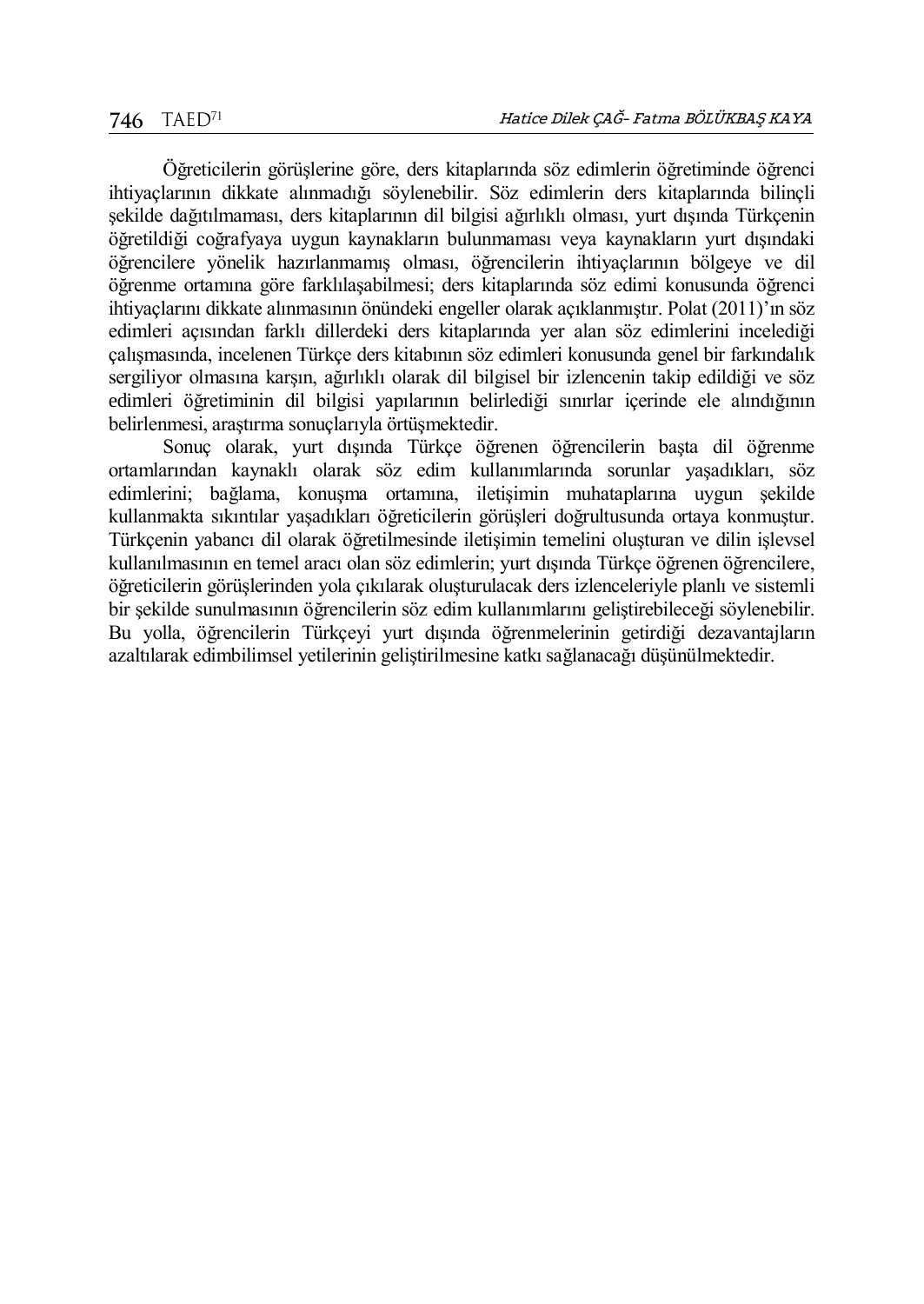Öğreticilerin görüşlerine göre, ders kitaplarında söz edimlerin öğretiminde öğrenci ihtiyaçlarının dikkate alınmadığı söylenebilir. Söz edimlerin ders kitaplarında bilinçli şekilde dağıtılmaması, ders kitaplarının dil bilgisi ağırlıklı olması, yurt dışında Türkçenin öğretildiği coğrafyaya uygun kaynakların bulunmaması veya kaynakların yurt dışındaki öğrencilere yönelik hazırlanmamış olması, öğrencilerin ihtiyaçlarının bölgeye ve dil öğrenme ortamına göre farklılaşabilmesi; ders kitaplarında söz edimi konusunda öğrenci ihtiyaçlarını dikkate alınmasının önündeki engeller olarak açıklanmıştır. Polat (2011)'ın söz edimleri açısından farklı dillerdeki ders kitaplarında yer alan söz edimlerini incelediği çalışmasında, incelenen Türkçe ders kitabının söz edimleri konusunda genel bir farkındalık sergiliyor olmasına karşın, ağırlıklı olarak dil bilgisel bir izlencenin takip edildiği ve söz edimleri öğretiminin dil bilgisi yapılarının belirlediği sınırlar içerinde ele alındığının belirlenmesi, araştırma sonuçlarıyla örtüşmektedir.

Sonuç olarak, yurt dışında Türkçe öğrenen öğrencilerin başta dil öğrenme ortamlarından kaynaklı olarak söz edim kullanımlarında sorunlar yaşadıkları, söz edimlerini; bağlama, konuşma ortamına, iletişimin muhataplarına uygun şekilde kullanmakta sıkıntılar yaşadıkları öğreticilerin görüşleri doğrultusunda ortaya konmuştur. Türkçenin yabancı dil olarak öğretilmesinde iletişimin temelini oluşturan ve dilin işlevsel kullanılmasının en temel aracı olan söz edimlerin; yurt dışında Türkçe öğrenen öğrencilere, öğreticilerin görüşlerinden yola çıkılarak oluşturulacak ders izlenceleriyle planlı ve sistemli bir şekilde sunulmasının öğrencilerin söz edim kullanımlarını geliştirebileceği söylenebilir. Bu yolla, öğrencilerin Türkçeyi yurt dışında öğrenmelerinin getirdiği dezavantajların azaltılarak edimbilimsel yetilerinin geliştirilmesine katkı sağlanacağı düşünülmektedir.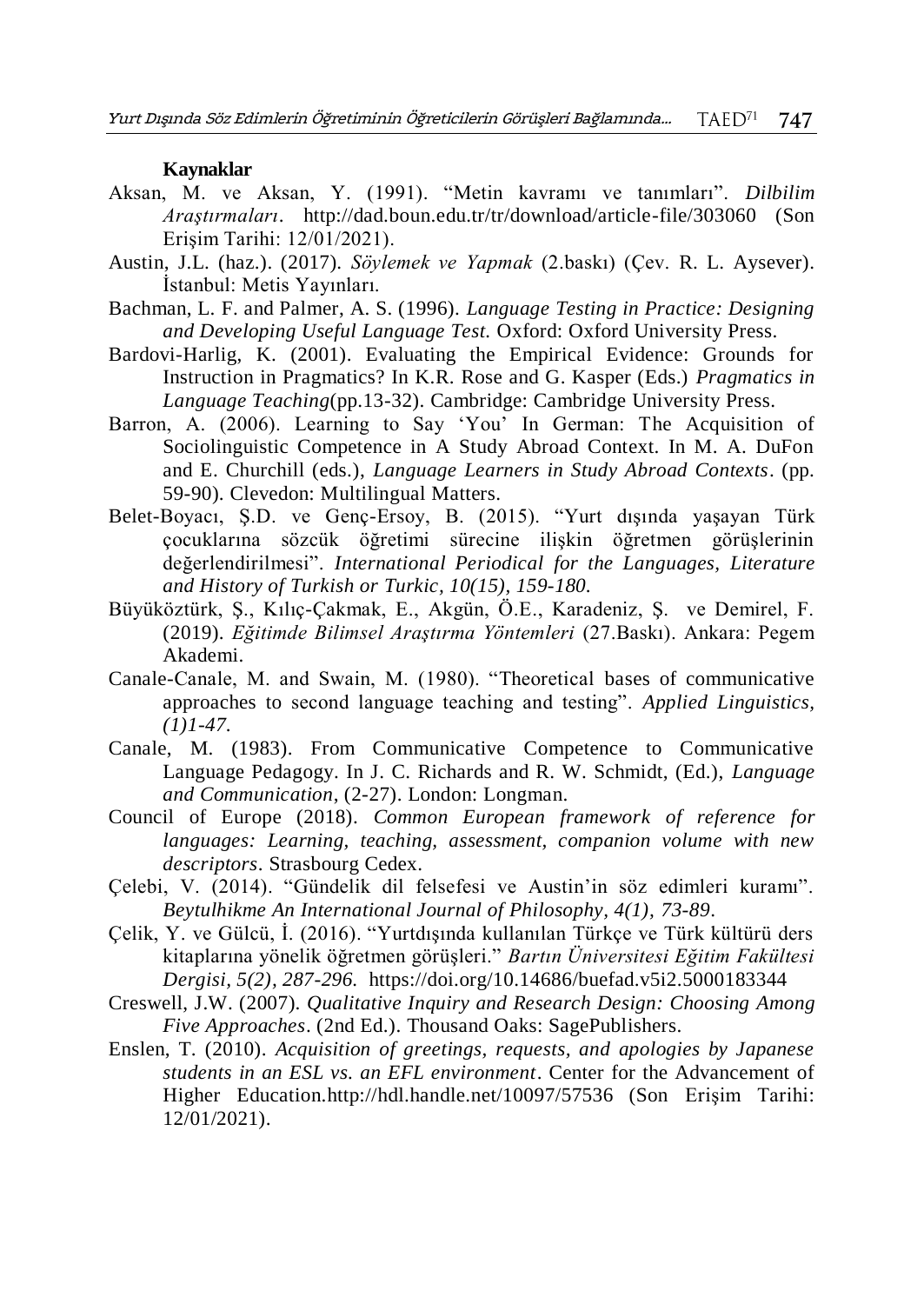#### **Kaynaklar**

- Aksan, M. ve Aksan, Y. (1991). "Metin kavramı ve tanımları". *Dilbilim Araştırmaları*. http://dad.boun.edu.tr/tr/download/article-file/303060 (Son Erişim Tarihi: 12/01/2021).
- Austin, J.L. (haz.). (2017). *Söylemek ve Yapmak* (2.baskı) (Çev. R. L. Aysever). İstanbul: Metis Yayınları.
- Bachman, L. F. and Palmer, A. S. (1996). *Language Testing in Practice: Designing and Developing Useful Language Test.* Oxford: Oxford University Press.
- Bardovi-Harlig, K. (2001). Evaluating the Empirical Evidence: Grounds for Instruction in Pragmatics? In K.R. Rose and G. Kasper (Eds.) *Pragmatics in Language Teaching*(pp.13-32). Cambridge: Cambridge University Press.
- Barron, A. (2006). Learning to Say 'You' In German: The Acquisition of Sociolinguistic Competence in A Study Abroad Context. In M. A. DuFon and E. Churchill (eds.), *Language Learners in Study Abroad Contexts*. (pp. 59-90). Clevedon: Multilingual Matters.
- Belet-Boyacı, Ş.D. ve Genç-Ersoy, B. (2015). "Yurt dışında yaşayan Türk çocuklarına sözcük öğretimi sürecine ilişkin öğretmen görüşlerinin değerlendirilmesi". *International Periodical for the Languages, Literature and History of Turkish or Turkic, 10(15), 159-180.*
- Büyüköztürk, Ş., Kılıç-Çakmak, E., Akgün, Ö.E., Karadeniz, Ş. ve Demirel, F. (2019). *Eğitimde Bilimsel Araştırma Yöntemleri* (27.Baskı). Ankara: Pegem Akademi.
- Canale-Canale, M. and Swain, M. (1980). "Theoretical bases of communicative approaches to second language teaching and testing". *Applied Linguistics, (1)1-47.*
- Canale, M. (1983). From Communicative Competence to Communicative Language Pedagogy. In J. C. Richards and R. W. Schmidt, (Ed.), *Language and Communication*, (2-27). London: Longman.
- Council of Europe (2018). *Common European framework of reference for languages: Learning, teaching, assessment, companion volume with new descriptors*. Strasbourg Cedex.
- Çelebi, V. (2014). "Gündelik dil felsefesi ve Austin'in söz edimleri kuramı". *Beytulhikme An International Journal of Philosophy, 4(1), 73-89*.
- Çelik, Y. ve Gülcü, İ. (2016). "Yurtdışında kullanılan Türkçe ve Türk kültürü ders kitaplarına yönelik öğretmen görüşleri." *Bartın Üniversitesi Eğitim Fakültesi Dergisi, 5(2), 287-296.* https://doi.org/10.14686/buefad.v5i2.5000183344
- Creswell, J.W. (2007). *Qualitative Inquiry and Research Design: Choosing Among Five Approaches*. (2nd Ed.). Thousand Oaks: SagePublishers.
- Enslen, T. (2010). *Acquisition of greetings, requests, and apologies by Japanese students in an ESL vs. an EFL environment*. Center for the Advancement of Higher Education.http://hdl.handle.net/10097/57536 (Son Erişim Tarihi: 12/01/2021).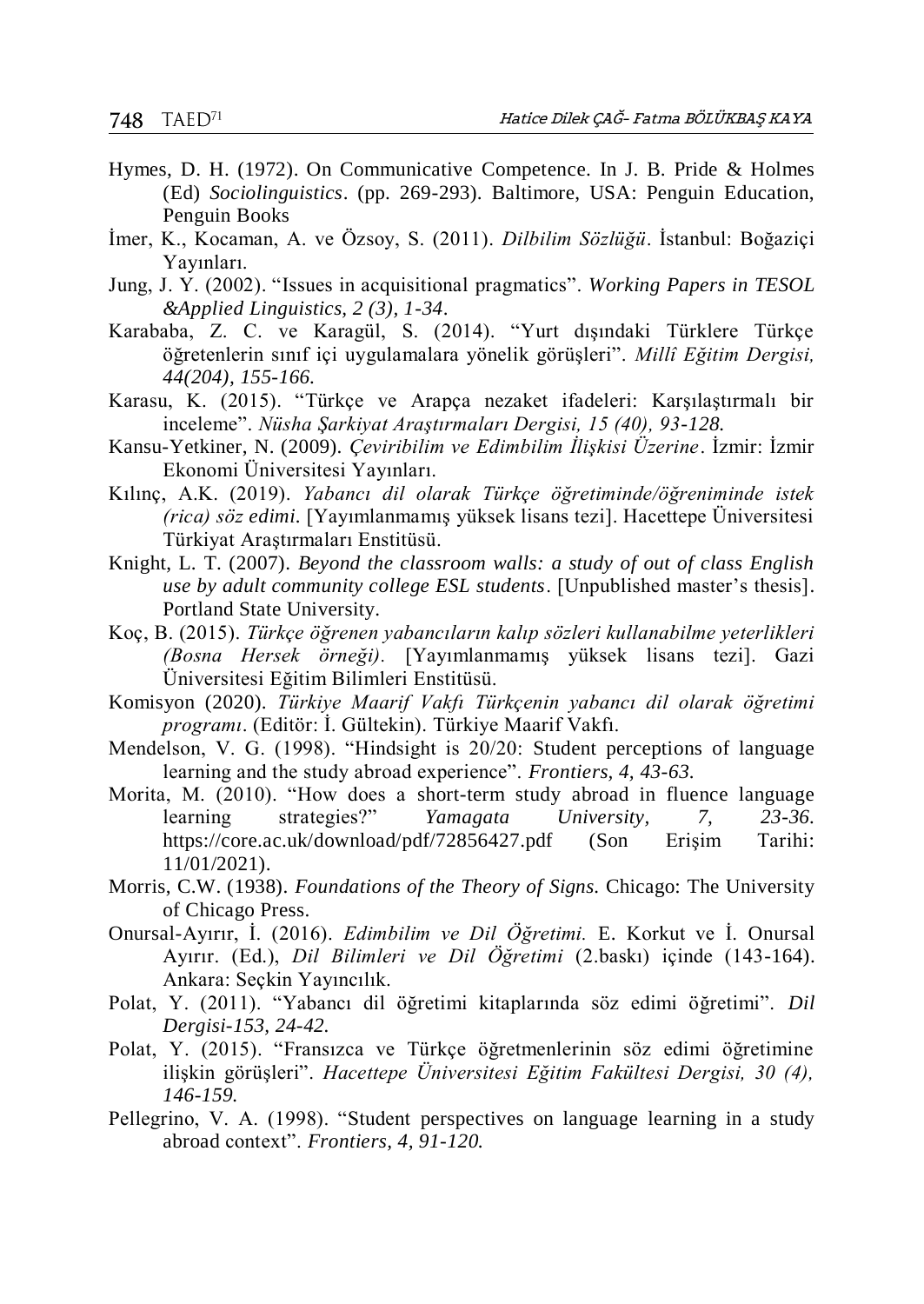- Hymes, D. H. (1972). On Communicative Competence. In J. B. Pride & Holmes (Ed) *Sociolinguistics*. (pp. 269-293). Baltimore, USA: Penguin Education, Penguin Books
- İmer, K., Kocaman, A. ve Özsoy, S. (2011). *Dilbilim Sözlüğü*. İstanbul: Boğaziçi Yayınları.
- Jung, J. Y. (2002). "Issues in acquisitional pragmatics". *Working Papers in TESOL &Applied Linguistics, 2 (3), 1-34*.
- Karababa, Z. C. ve Karagül, S. (2014). "Yurt dışındaki Türklere Türkçe öğretenlerin sınıf içi uygulamalara yönelik görüşleri". *Millî Eğitim Dergisi, 44(204), 155-166.*
- Karasu, K. (2015). "Türkçe ve Arapça nezaket ifadeleri: Karşılaştırmalı bir inceleme". *Nüsha Şarkiyat Araştırmaları Dergisi, 15 (40), 93-128.*
- Kansu-Yetkiner, N. (2009). *Çeviribilim ve Edimbilim İlişkisi Üzerine*. İzmir: İzmir Ekonomi Üniversitesi Yayınları.
- Kılınç, A.K. (2019). *Yabancı dil olarak Türkçe öğretiminde/öğreniminde istek (rica) söz edimi.* [Yayımlanmamış yüksek lisans tezi]. Hacettepe Üniversitesi Türkiyat Araştırmaları Enstitüsü.
- Knight, L. T. (2007). *Beyond the classroom walls: a study of out of class English use by adult community college ESL students*. [Unpublished master's thesis]. Portland State University.
- Koç, B. (2015). *Türkçe öğrenen yabancıların kalıp sözleri kullanabilme yeterlikleri (Bosna Hersek örneği).* [Yayımlanmamış yüksek lisans tezi]. Gazi Üniversitesi Eğitim Bilimleri Enstitüsü.
- Komisyon (2020). *Türkiye Maarif Vakfı Türkçenin yabancı dil olarak öğretimi programı*. (Editör: İ. Gültekin). Türkiye Maarif Vakfı.
- Mendelson, V. G. (1998). "Hindsight is 20/20: Student perceptions of language learning and the study abroad experience". *Frontiers, 4, 43-63.*
- Morita, M. (2010). "How does a short-term study abroad in fluence language learning strategies?" *Yamagata University, 7, 23-36.* https://core.ac.uk/download/pdf/72856427.pdf (Son Erişim Tarihi: 11/01/2021).
- Morris, C.W. (1938). *Foundations of the Theory of Signs.* Chicago: The University of Chicago Press.
- Onursal-Ayırır, İ. (2016). *Edimbilim ve Dil Öğretimi.* E. Korkut ve İ. Onursal Ayırır. (Ed.), *Dil Bilimleri ve Dil Öğretimi* (2.baskı) içinde (143-164). Ankara: Seçkin Yayıncılık.
- Polat, Y. (2011). "Yabancı dil öğretimi kitaplarında söz edimi öğretimi". *Dil Dergisi-153, 24-42.*
- Polat, Y. (2015). "Fransızca ve Türkçe öğretmenlerinin söz edimi öğretimine ilişkin görüşleri". *Hacettepe Üniversitesi Eğitim Fakültesi Dergisi, 30 (4), 146-159.*
- Pellegrino, V. A. (1998). "Student perspectives on language learning in a study abroad context". *Frontiers, 4, 91-120.*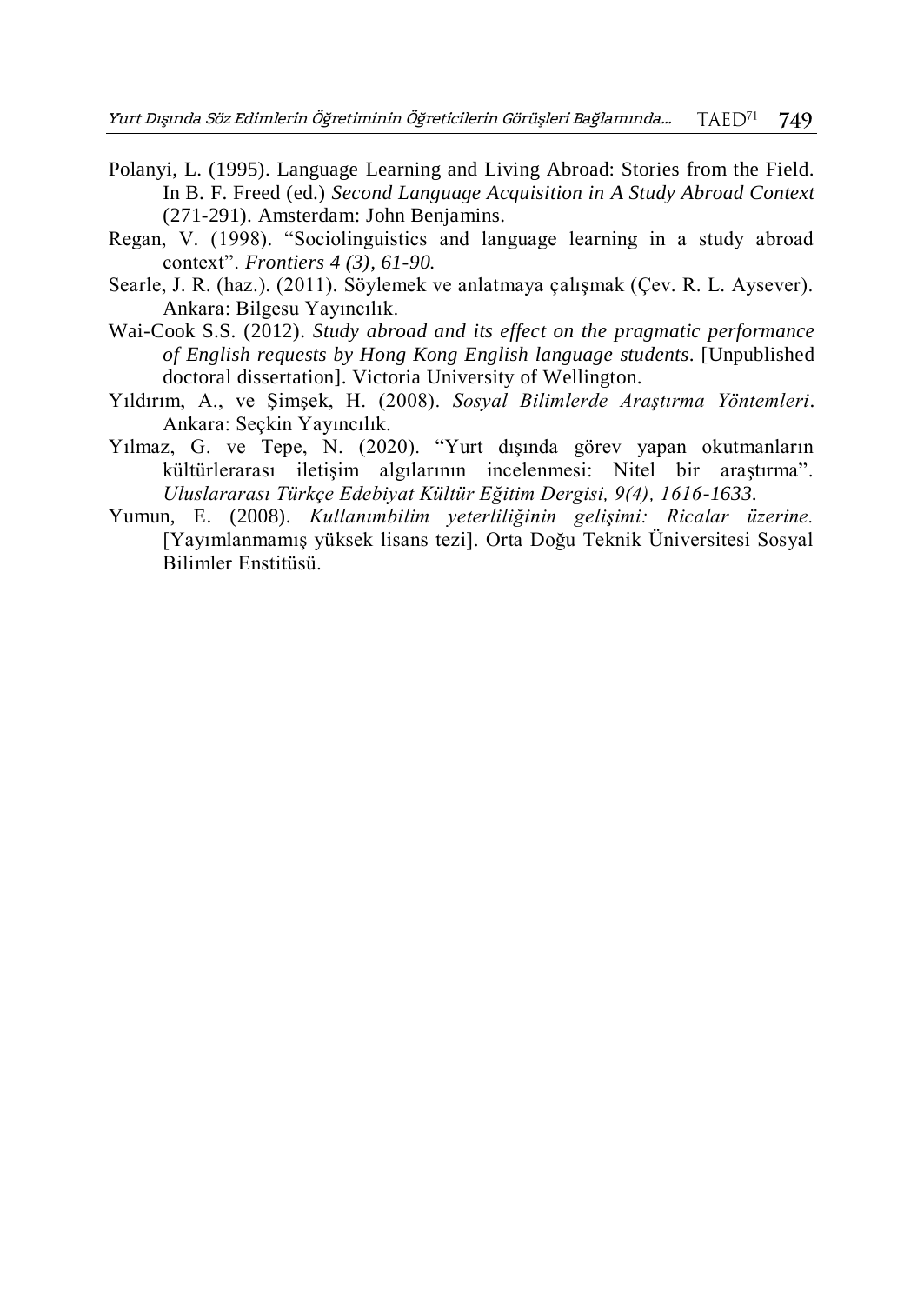- Polanyi, L. (1995). Language Learning and Living Abroad: Stories from the Field. In B. F. Freed (ed.) *Second Language Acquisition in A Study Abroad Context* (271-291). Amsterdam: John Benjamins.
- Regan, V. (1998). "Sociolinguistics and language learning in a study abroad context". *Frontiers 4 (3), 61-90.*
- Searle, J. R. (haz.). (2011). Söylemek ve anlatmaya çalışmak (Çev. R. L. Aysever). Ankara: Bilgesu Yayıncılık.
- Wai-Cook S.S. (2012). *Study abroad and its effect on the pragmatic performance of English requests by Hong Kong English language students*. [Unpublished doctoral dissertation]. Victoria University of Wellington.
- Yıldırım, A., ve Şimşek, H. (2008). *Sosyal Bilimlerde Araştırma Yöntemleri*. Ankara: Seçkin Yayıncılık.
- Yılmaz, G. ve Tepe, N. (2020). "Yurt dışında görev yapan okutmanların kültürlerarası iletişim algılarının incelenmesi: Nitel bir araştırma". *Uluslararası Türkçe Edebiyat Kültür Eğitim Dergisi, 9(4), 1616-1633*.
- Yumun, E. (2008). *Kullanımbilim yeterliliğinin gelişimi: Ricalar üzerine.* [Yayımlanmamış yüksek lisans tezi]. Orta Doğu Teknik Üniversitesi Sosyal Bilimler Enstitüsü.